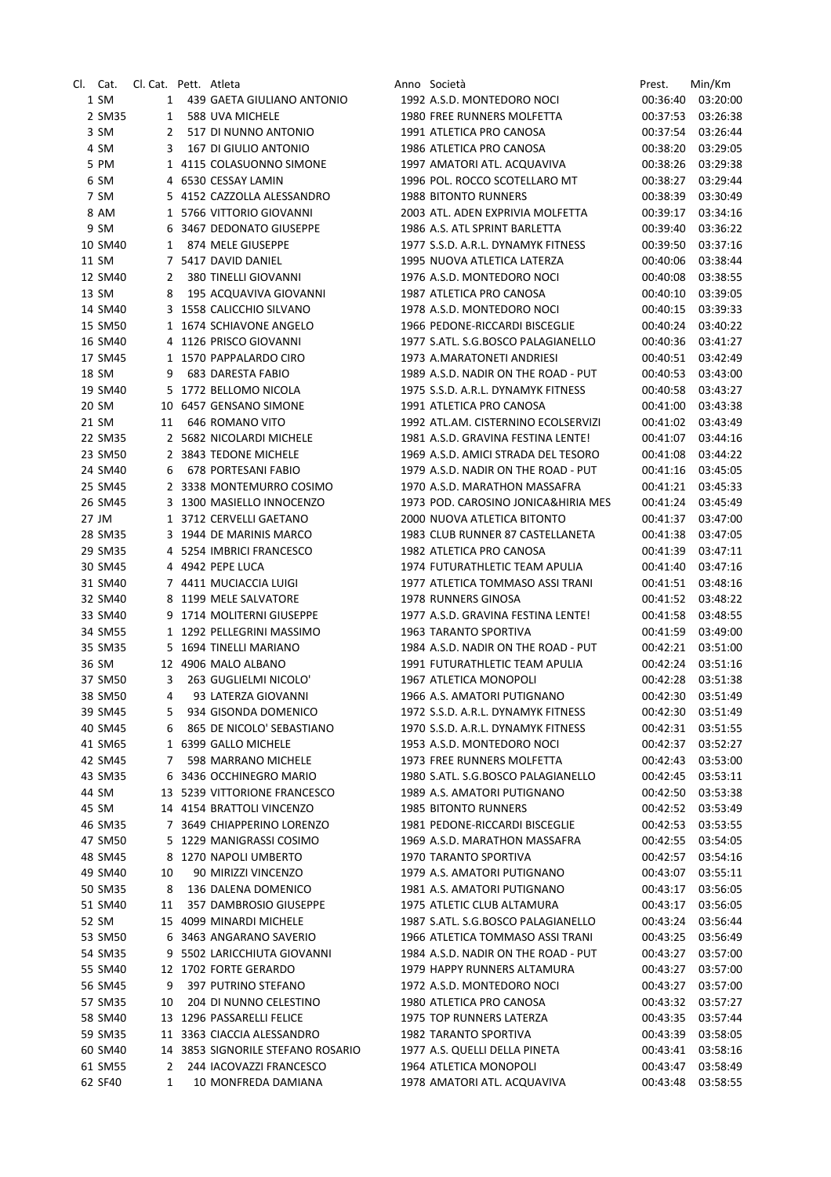| Cl. Cat. | Cl. Cat. Pett. Atleta |                                   | Anno Società                        | Prest.   | Min/Km   |
|----------|-----------------------|-----------------------------------|-------------------------------------|----------|----------|
| 1 SM     | 1                     | 439 GAETA GIULIANO ANTONIO        | 1992 A.S.D. MONTEDORO NOCI          | 00:36:40 | 03:20:00 |
| 2 SM35   | $\mathbf{1}$          | 588 UVA MICHELE                   | 1980 FREE RUNNERS MOLFETTA          | 00:37:53 | 03:26:38 |
| 3 SM     | 2                     | 517 DI NUNNO ANTONIO              | 1991 ATLETICA PRO CANOSA            | 00:37:54 | 03:26:44 |
| 4 SM     | 3                     | 167 DI GIULIO ANTONIO             | 1986 ATLETICA PRO CANOSA            | 00:38:20 | 03:29:05 |
| 5 PM     |                       | 1 4115 COLASUONNO SIMONE          | 1997 AMATORI ATL. ACQUAVIVA         | 00:38:26 | 03:29:38 |
| 6 SM     |                       | 4 6530 CESSAY LAMIN               | 1996 POL. ROCCO SCOTELLARO MT       | 00:38:27 | 03:29:44 |
| 7 SM     |                       | 5 4152 CAZZOLLA ALESSANDRO        | <b>1988 BITONTO RUNNERS</b>         | 00:38:39 | 03:30:49 |
| 8 AM     |                       | 1 5766 VITTORIO GIOVANNI          | 2003 ATL. ADEN EXPRIVIA MOLFETTA    | 00:39:17 | 03:34:16 |
| 9 SM     | 6                     | 3467 DEDONATO GIUSEPPE            | 1986 A.S. ATL SPRINT BARLETTA       | 00:39:40 | 03:36:22 |
| 10 SM40  | 1                     | 874 MELE GIUSEPPE                 | 1977 S.S.D. A.R.L. DYNAMYK FITNESS  | 00:39:50 | 03:37:16 |
| 11 SM    |                       | 7 5417 DAVID DANIEL               | 1995 NUOVA ATLETICA LATERZA         | 00:40:06 | 03:38:44 |
| 12 SM40  | 2                     | 380 TINELLI GIOVANNI              | 1976 A.S.D. MONTEDORO NOCI          | 00:40:08 | 03:38:55 |
| 13 SM    | 8                     | 195 ACQUAVIVA GIOVANNI            | 1987 ATLETICA PRO CANOSA            | 00:40:10 | 03:39:05 |
| 14 SM40  |                       | 3 1558 CALICCHIO SILVANO          | 1978 A.S.D. MONTEDORO NOCI          | 00:40:15 | 03:39:33 |
| 15 SM50  |                       | 1 1674 SCHIAVONE ANGELO           | 1966 PEDONE-RICCARDI BISCEGLIE      | 00:40:24 | 03:40:22 |
| 16 SM40  |                       | 4 1126 PRISCO GIOVANNI            | 1977 S.ATL. S.G.BOSCO PALAGIANELLO  | 00:40:36 | 03:41:27 |
| 17 SM45  |                       | 1 1570 PAPPALARDO CIRO            | 1973 A.MARATONETI ANDRIESI          | 00:40:51 | 03:42:49 |
| 18 SM    | 9                     | <b>683 DARESTA FABIO</b>          | 1989 A.S.D. NADIR ON THE ROAD - PUT |          |          |
|          |                       |                                   |                                     | 00:40:53 | 03:43:00 |
| 19 SM40  |                       | 5 1772 BELLOMO NICOLA             | 1975 S.S.D. A.R.L. DYNAMYK FITNESS  | 00:40:58 | 03:43:27 |
| 20 SM    |                       | 10 6457 GENSANO SIMONE            | 1991 ATLETICA PRO CANOSA            | 00:41:00 | 03:43:38 |
| 21 SM    | 11                    | 646 ROMANO VITO                   | 1992 ATL.AM. CISTERNINO ECOLSERVIZI | 00:41:02 | 03:43:49 |
| 22 SM35  |                       | 2 5682 NICOLARDI MICHELE          | 1981 A.S.D. GRAVINA FESTINA LENTE!  | 00:41:07 | 03:44:16 |
| 23 SM50  |                       | 2 3843 TEDONE MICHELE             | 1969 A.S.D. AMICI STRADA DEL TESORO | 00:41:08 | 03:44:22 |
| 24 SM40  | 6                     | 678 PORTESANI FABIO               | 1979 A.S.D. NADIR ON THE ROAD - PUT | 00:41:16 | 03:45:05 |
| 25 SM45  |                       | 2 3338 MONTEMURRO COSIMO          | 1970 A.S.D. MARATHON MASSAFRA       | 00:41:21 | 03:45:33 |
| 26 SM45  |                       | 3 1300 MASIELLO INNOCENZO         | 1973 POD. CAROSINO JONICA&HIRIA MES | 00:41:24 | 03:45:49 |
| 27 JM    |                       | 1 3712 CERVELLI GAETANO           | 2000 NUOVA ATLETICA BITONTO         | 00:41:37 | 03:47:00 |
| 28 SM35  |                       | 3 1944 DE MARINIS MARCO           | 1983 CLUB RUNNER 87 CASTELLANETA    | 00:41:38 | 03:47:05 |
| 29 SM35  |                       | 4 5254 IMBRICI FRANCESCO          | 1982 ATLETICA PRO CANOSA            | 00:41:39 | 03:47:11 |
| 30 SM45  |                       | 4 4942 PEPE LUCA                  | 1974 FUTURATHLETIC TEAM APULIA      | 00:41:40 | 03:47:16 |
| 31 SM40  |                       | 7 4411 MUCIACCIA LUIGI            | 1977 ATLETICA TOMMASO ASSI TRANI    | 00:41:51 | 03:48:16 |
| 32 SM40  |                       | 8 1199 MELE SALVATORE             | 1978 RUNNERS GINOSA                 | 00:41:52 | 03:48:22 |
| 33 SM40  |                       | 9 1714 MOLITERNI GIUSEPPE         | 1977 A.S.D. GRAVINA FESTINA LENTE!  | 00:41:58 | 03:48:55 |
| 34 SM55  |                       | 1 1292 PELLEGRINI MASSIMO         | 1963 TARANTO SPORTIVA               | 00:41:59 | 03:49:00 |
| 35 SM35  |                       | 5 1694 TINELLI MARIANO            | 1984 A.S.D. NADIR ON THE ROAD - PUT | 00:42:21 | 03:51:00 |
| 36 SM    |                       | 12 4906 MALO ALBANO               | 1991 FUTURATHLETIC TEAM APULIA      | 00:42:24 | 03:51:16 |
| 37 SM50  | 3                     | 263 GUGLIELMI NICOLO'             | 1967 ATLETICA MONOPOLI              | 00:42:28 | 03:51:38 |
| 38 SM50  | 4                     | 93 LATERZA GIOVANNI               | 1966 A.S. AMATORI PUTIGNANO         | 00:42:30 | 03:51:49 |
| 39 SM45  | 5                     | 934 GISONDA DOMENICO              | 1972 S.S.D. A.R.L. DYNAMYK FITNESS  | 00:42:30 | 03:51:49 |
| 40 SM45  | 6                     | 865 DE NICOLO' SEBASTIANO         | 1970 S.S.D. A.R.L. DYNAMYK FITNESS  | 00:42:31 | 03:51:55 |
| 41 SM65  |                       | 1 6399 GALLO MICHELE              | 1953 A.S.D. MONTEDORO NOCI          | 00:42:37 | 03:52:27 |
| 42 SM45  | 7                     | 598 MARRANO MICHELE               | 1973 FREE RUNNERS MOLFETTA          | 00:42:43 | 03:53:00 |
| 43 SM35  | 6                     | 3436 OCCHINEGRO MARIO             | 1980 S.ATL. S.G.BOSCO PALAGIANELLO  | 00:42:45 | 03:53:11 |
| 44 SM    |                       | 13 5239 VITTORIONE FRANCESCO      | 1989 A.S. AMATORI PUTIGNANO         | 00:42:50 | 03:53:38 |
| 45 SM    |                       | 14 4154 BRATTOLI VINCENZO         | <b>1985 BITONTO RUNNERS</b>         | 00:42:52 | 03:53:49 |
| 46 SM35  |                       | 7 3649 CHIAPPERINO LORENZO        | 1981 PEDONE-RICCARDI BISCEGLIE      | 00:42:53 | 03:53:55 |
| 47 SM50  |                       | 5 1229 MANIGRASSI COSIMO          | 1969 A.S.D. MARATHON MASSAFRA       | 00:42:55 | 03:54:05 |
| 48 SM45  | 8                     | 1270 NAPOLI UMBERTO               | 1970 TARANTO SPORTIVA               | 00:42:57 | 03:54:16 |
| 49 SM40  | 10                    | 90 MIRIZZI VINCENZO               | 1979 A.S. AMATORI PUTIGNANO         | 00:43:07 | 03:55:11 |
| 50 SM35  | 8                     | 136 DALENA DOMENICO               | 1981 A.S. AMATORI PUTIGNANO         | 00:43:17 | 03:56:05 |
| 51 SM40  | 11                    | 357 DAMBROSIO GIUSEPPE            | 1975 ATLETIC CLUB ALTAMURA          | 00:43:17 | 03:56:05 |
| 52 SM    |                       | 15 4099 MINARDI MICHELE           | 1987 S.ATL. S.G.BOSCO PALAGIANELLO  | 00:43:24 | 03:56:44 |
| 53 SM50  |                       | 6 3463 ANGARANO SAVERIO           | 1966 ATLETICA TOMMASO ASSI TRANI    | 00:43:25 | 03:56:49 |
| 54 SM35  | 9                     | 5502 LARICCHIUTA GIOVANNI         | 1984 A.S.D. NADIR ON THE ROAD - PUT | 00:43:27 | 03:57:00 |
| 55 SM40  |                       | 12 1702 FORTE GERARDO             | 1979 HAPPY RUNNERS ALTAMURA         | 00:43:27 | 03:57:00 |
| 56 SM45  | 9                     | 397 PUTRINO STEFANO               | 1972 A.S.D. MONTEDORO NOCI          | 00:43:27 | 03:57:00 |
| 57 SM35  | 10                    | 204 DI NUNNO CELESTINO            | 1980 ATLETICA PRO CANOSA            | 00:43:32 | 03:57:27 |
| 58 SM40  |                       | 13 1296 PASSARELLI FELICE         | 1975 TOP RUNNERS LATERZA            | 00:43:35 | 03:57:44 |
| 59 SM35  |                       | 11 3363 CIACCIA ALESSANDRO        | 1982 TARANTO SPORTIVA               | 00:43:39 | 03:58:05 |
| 60 SM40  |                       | 14 3853 SIGNORILE STEFANO ROSARIO | 1977 A.S. QUELLI DELLA PINETA       | 00:43:41 | 03:58:16 |
| 61 SM55  | 2                     | 244 IACOVAZZI FRANCESCO           | 1964 ATLETICA MONOPOLI              | 00:43:47 | 03:58:49 |
| 62 SF40  | 1                     | 10 MONFREDA DAMIANA               | 1978 AMATORI ATL. ACQUAVIVA         |          | 03:58:55 |
|          |                       |                                   |                                     | 00:43:48 |          |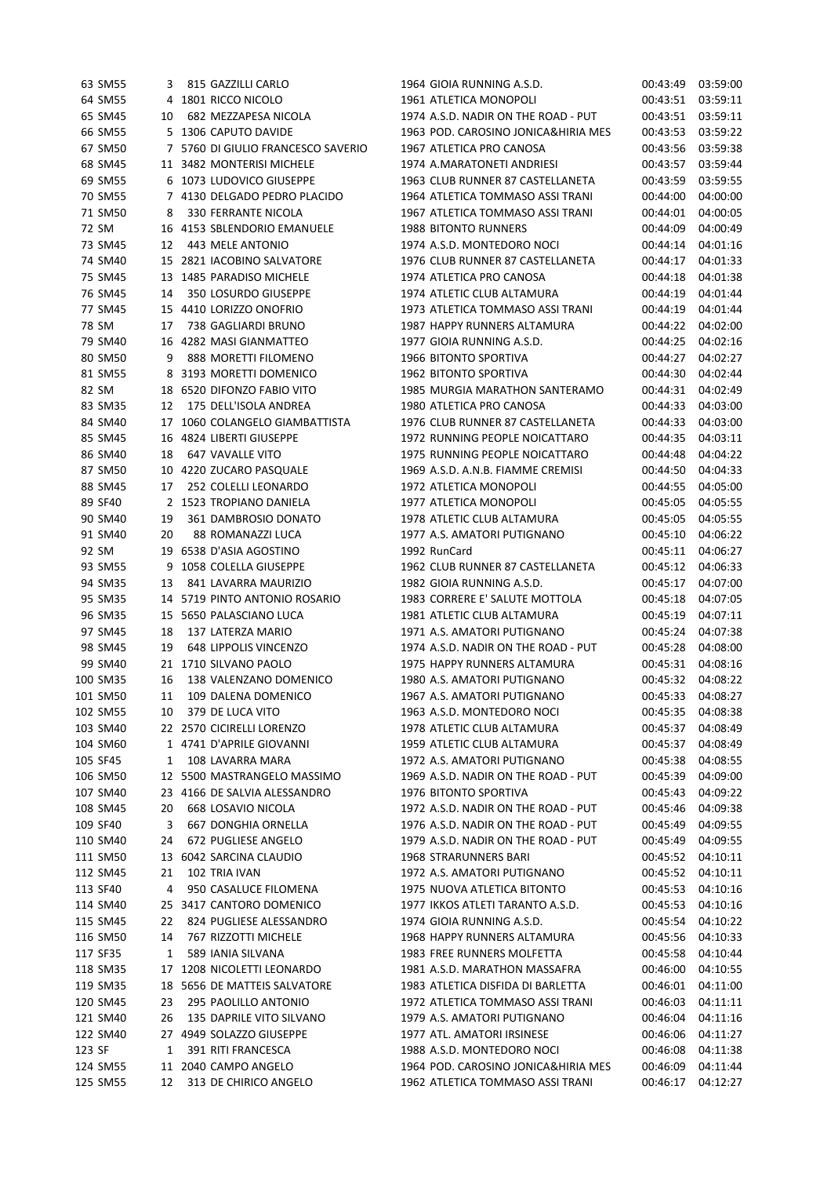|        | 63 SM55  | 3  | 815 GAZZILLI CARLO                 | 1964 GIOIA RUNNING A.S.D.           | 00:43:49             | 03:59:00 |
|--------|----------|----|------------------------------------|-------------------------------------|----------------------|----------|
|        | 64 SM55  |    | 4 1801 RICCO NICOLO                | 1961 ATLETICA MONOPOLI              | 00:43:51             | 03:59:11 |
|        | 65 SM45  | 10 | 682 MEZZAPESA NICOLA               | 1974 A.S.D. NADIR ON THE ROAD - PUT | 00:43:51             | 03:59:11 |
|        | 66 SM55  |    | 5 1306 CAPUTO DAVIDE               | 1963 POD. CAROSINO JONICA&HIRIA MES | 00:43:53             | 03:59:22 |
|        | 67 SM50  |    | 7 5760 DI GIULIO FRANCESCO SAVERIO | 1967 ATLETICA PRO CANOSA            | 00:43:56             | 03:59:38 |
|        | 68 SM45  |    | 11 3482 MONTERISI MICHELE          | 1974 A.MARATONETI ANDRIESI          | 00:43:57             | 03:59:44 |
|        | 69 SM55  |    | 6 1073 LUDOVICO GIUSEPPE           | 1963 CLUB RUNNER 87 CASTELLANETA    | 00:43:59             | 03:59:55 |
|        | 70 SM55  |    | 7 4130 DELGADO PEDRO PLACIDO       | 1964 ATLETICA TOMMASO ASSI TRANI    | 00:44:00             | 04:00:00 |
|        | 71 SM50  | 8  | 330 FERRANTE NICOLA                | 1967 ATLETICA TOMMASO ASSI TRANI    | 00:44:01             | 04:00:05 |
| 72 SM  |          |    | 16 4153 SBLENDORIO EMANUELE        | <b>1988 BITONTO RUNNERS</b>         | 00:44:09             | 04:00:49 |
|        | 73 SM45  | 12 | 443 MELE ANTONIO                   | 1974 A.S.D. MONTEDORO NOCI          | 00:44:14             | 04:01:16 |
|        | 74 SM40  |    | 15 2821 IACOBINO SALVATORE         | 1976 CLUB RUNNER 87 CASTELLANETA    | 00:44:17             | 04:01:33 |
|        | 75 SM45  |    | 13 1485 PARADISO MICHELE           | 1974 ATLETICA PRO CANOSA            | 00:44:18             | 04:01:38 |
|        | 76 SM45  | 14 | 350 LOSURDO GIUSEPPE               | 1974 ATLETIC CLUB ALTAMURA          | 00:44:19             | 04:01:44 |
|        | 77 SM45  |    | 15 4410 LORIZZO ONOFRIO            | 1973 ATLETICA TOMMASO ASSI TRANI    | 00:44:19             | 04:01:44 |
| 78 SM  |          | 17 | 738 GAGLIARDI BRUNO                | 1987 HAPPY RUNNERS ALTAMURA         | 00:44:22             | 04:02:00 |
|        | 79 SM40  |    | 16 4282 MASI GIANMATTEO            | 1977 GIOIA RUNNING A.S.D.           | 00:44:25             | 04:02:16 |
|        | 80 SM50  | 9  | 888 MORETTI FILOMENO               | <b>1966 BITONTO SPORTIVA</b>        | 00:44:27             | 04:02:27 |
|        | 81 SM55  |    | 8 3193 MORETTI DOMENICO            | 1962 BITONTO SPORTIVA               | 00:44:30             | 04:02:44 |
| 82 SM  |          |    | 18 6520 DIFONZO FABIO VITO         | 1985 MURGIA MARATHON SANTERAMO      | 00:44:31             | 04:02:49 |
|        | 83 SM35  | 12 | 175 DELL'ISOLA ANDREA              | 1980 ATLETICA PRO CANOSA            | 00:44:33             | 04:03:00 |
|        | 84 SM40  |    | 17 1060 COLANGELO GIAMBATTISTA     | 1976 CLUB RUNNER 87 CASTELLANETA    | 00:44:33             | 04:03:00 |
|        | 85 SM45  |    | 16 4824 LIBERTI GIUSEPPE           | 1972 RUNNING PEOPLE NOICATTARO      | 00:44:35             | 04:03:11 |
|        | 86 SM40  | 18 | 647 VAVALLE VITO                   | 1975 RUNNING PEOPLE NOICATTARO      | 00:44:48             | 04:04:22 |
|        | 87 SM50  |    |                                    | 1969 A.S.D. A.N.B. FIAMME CREMISI   |                      |          |
|        | 88 SM45  |    | 10 4220 ZUCARO PASQUALE            |                                     | 00:44:50<br>00:44:55 | 04:04:33 |
|        |          | 17 | 252 COLELLI LEONARDO               | 1972 ATLETICA MONOPOLI              |                      | 04:05:00 |
|        | 89 SF40  |    | 2 1523 TROPIANO DANIELA            | 1977 ATLETICA MONOPOLI              | 00:45:05             | 04:05:55 |
|        | 90 SM40  | 19 | 361 DAMBROSIO DONATO               | 1978 ATLETIC CLUB ALTAMURA          | 00:45:05             | 04:05:55 |
|        | 91 SM40  | 20 | 88 ROMANAZZI LUCA                  | 1977 A.S. AMATORI PUTIGNANO         | 00:45:10             | 04:06:22 |
|        | 92 SM    |    | 19 6538 D'ASIA AGOSTINO            | 1992 RunCard                        | 00:45:11             | 04:06:27 |
|        | 93 SM55  | 9  | 1058 COLELLA GIUSEPPE              | 1962 CLUB RUNNER 87 CASTELLANETA    | 00:45:12             | 04:06:33 |
|        | 94 SM35  | 13 | 841 LAVARRA MAURIZIO               | 1982 GIOIA RUNNING A.S.D.           | 00:45:17             | 04:07:00 |
|        | 95 SM35  |    | 14 5719 PINTO ANTONIO ROSARIO      | 1983 CORRERE E' SALUTE MOTTOLA      | 00:45:18             | 04:07:05 |
|        | 96 SM35  |    | 15 5650 PALASCIANO LUCA            | 1981 ATLETIC CLUB ALTAMURA          | 00:45:19             | 04:07:11 |
|        | 97 SM45  | 18 | 137 LATERZA MARIO                  | 1971 A.S. AMATORI PUTIGNANO         | 00:45:24             | 04:07:38 |
|        | 98 SM45  | 19 | <b>648 LIPPOLIS VINCENZO</b>       | 1974 A.S.D. NADIR ON THE ROAD - PUT | 00:45:28             | 04:08:00 |
|        | 99 SM40  |    | 21 1710 SILVANO PAOLO              | 1975 HAPPY RUNNERS ALTAMURA         | 00:45:31             | 04:08:16 |
|        | 100 SM35 | 16 | 138 VALENZANO DOMENICO             | 1980 A.S. AMATORI PUTIGNANO         | 00:45:32             | 04:08:22 |
|        | 101 SM50 | 11 | 109 DALENA DOMENICO                | 1967 A.S. AMATORI PUTIGNANO         | 00:45:33             | 04:08:27 |
|        | 102 SM55 | 10 | 379 DE LUCA VITO                   | 1963 A.S.D. MONTEDORO NOCI          | 00:45:35             | 04:08:38 |
|        | 103 SM40 |    | 22 2570 CICIRELLI LORENZO          | 1978 ATLETIC CLUB ALTAMURA          | 00:45:37             | 04:08:49 |
|        | 104 SM60 |    | 1 4741 D'APRILE GIOVANNI           | 1959 ATLETIC CLUB ALTAMURA          | 00:45:37             | 04:08:49 |
|        | 105 SF45 | 1  | 108 LAVARRA MARA                   | 1972 A.S. AMATORI PUTIGNANO         | 00:45:38             | 04:08:55 |
|        | 106 SM50 |    | 12 5500 MASTRANGELO MASSIMO        | 1969 A.S.D. NADIR ON THE ROAD - PUT | 00:45:39             | 04:09:00 |
|        | 107 SM40 |    | 23 4166 DE SALVIA ALESSANDRO       | 1976 BITONTO SPORTIVA               | 00:45:43             | 04:09:22 |
|        | 108 SM45 | 20 | 668 LOSAVIO NICOLA                 | 1972 A.S.D. NADIR ON THE ROAD - PUT | 00:45:46             | 04:09:38 |
|        | 109 SF40 | 3  | 667 DONGHIA ORNELLA                | 1976 A.S.D. NADIR ON THE ROAD - PUT | 00:45:49             | 04:09:55 |
|        | 110 SM40 | 24 | 672 PUGLIESE ANGELO                | 1979 A.S.D. NADIR ON THE ROAD - PUT | 00:45:49             | 04:09:55 |
|        | 111 SM50 |    | 13 6042 SARCINA CLAUDIO            | 1968 STRARUNNERS BARI               | 00:45:52             | 04:10:11 |
|        | 112 SM45 | 21 | 102 TRIA IVAN                      | 1972 A.S. AMATORI PUTIGNANO         | 00:45:52             | 04:10:11 |
|        | 113 SF40 | 4  | 950 CASALUCE FILOMENA              | 1975 NUOVA ATLETICA BITONTO         | 00:45:53             | 04:10:16 |
|        | 114 SM40 |    | 25 3417 CANTORO DOMENICO           | 1977 IKKOS ATLETI TARANTO A.S.D.    | 00:45:53             | 04:10:16 |
|        | 115 SM45 | 22 | 824 PUGLIESE ALESSANDRO            | 1974 GIOIA RUNNING A.S.D.           | 00:45:54             | 04:10:22 |
|        | 116 SM50 | 14 | 767 RIZZOTTI MICHELE               | 1968 HAPPY RUNNERS ALTAMURA         | 00:45:56             | 04:10:33 |
|        | 117 SF35 | 1  | 589 IANIA SILVANA                  | 1983 FREE RUNNERS MOLFETTA          | 00:45:58             | 04:10:44 |
|        | 118 SM35 |    | 17 1208 NICOLETTI LEONARDO         | 1981 A.S.D. MARATHON MASSAFRA       | 00:46:00             | 04:10:55 |
|        | 119 SM35 |    | 18 5656 DE MATTEIS SALVATORE       | 1983 ATLETICA DISFIDA DI BARLETTA   | 00:46:01             | 04:11:00 |
|        | 120 SM45 | 23 | 295 PAOLILLO ANTONIO               | 1972 ATLETICA TOMMASO ASSI TRANI    | 00:46:03             | 04:11:11 |
|        | 121 SM40 | 26 | 135 DAPRILE VITO SILVANO           | 1979 A.S. AMATORI PUTIGNANO         | 00:46:04             | 04:11:16 |
|        | 122 SM40 |    | 27 4949 SOLAZZO GIUSEPPE           | 1977 ATL. AMATORI IRSINESE          | 00:46:06             | 04:11:27 |
| 123 SF |          | 1  | 391 RITI FRANCESCA                 | 1988 A.S.D. MONTEDORO NOCI          | 00:46:08             | 04:11:38 |
|        | 124 SM55 |    | 11 2040 CAMPO ANGELO               | 1964 POD. CAROSINO JONICA&HIRIA MES | 00:46:09             | 04:11:44 |
|        | 125 SM55 | 12 | 313 DE CHIRICO ANGELO              | 1962 ATLETICA TOMMASO ASSI TRANI    | 00:46:17             | 04:12:27 |
|        |          |    |                                    |                                     |                      |          |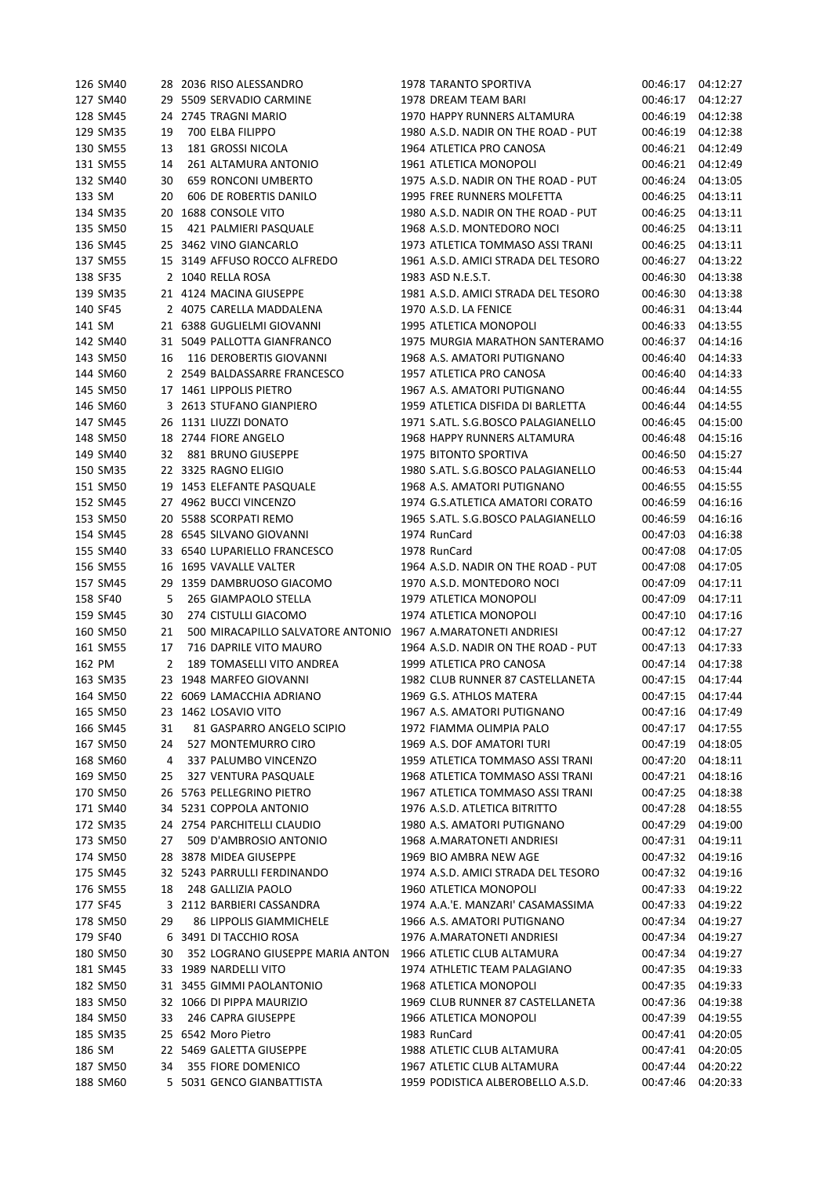| 126 SM40             |    | 28 2036 RISO ALESSANDRO                               | 1978 TARANTO SPORTIVA                                           | 00:46:17             | 04:12:27             |
|----------------------|----|-------------------------------------------------------|-----------------------------------------------------------------|----------------------|----------------------|
| 127 SM40             |    | 29 5509 SERVADIO CARMINE                              | 1978 DREAM TEAM BARI                                            | 00:46:17             | 04:12:27             |
| 128 SM45             |    | 24 2745 TRAGNI MARIO                                  | 1970 HAPPY RUNNERS ALTAMURA                                     | 00:46:19             | 04:12:38             |
| 129 SM35             | 19 | 700 ELBA FILIPPO                                      | 1980 A.S.D. NADIR ON THE ROAD - PUT                             | 00:46:19             | 04:12:38             |
| 130 SM55             | 13 | 181 GROSSI NICOLA                                     | 1964 ATLETICA PRO CANOSA                                        | 00:46:21             | 04:12:49             |
| 131 SM55             | 14 | 261 ALTAMURA ANTONIO                                  | 1961 ATLETICA MONOPOLI                                          | 00:46:21             | 04:12:49             |
| 132 SM40             | 30 | 659 RONCONI UMBERTO                                   | 1975 A.S.D. NADIR ON THE ROAD - PUT                             | 00:46:24             | 04:13:05             |
| 133 SM               | 20 | 606 DE ROBERTIS DANILO                                | 1995 FREE RUNNERS MOLFETTA                                      | 00:46:25             | 04:13:11             |
| 134 SM35             |    | 20 1688 CONSOLE VITO                                  | 1980 A.S.D. NADIR ON THE ROAD - PUT                             | 00:46:25             | 04:13:11             |
| 135 SM50             | 15 | 421 PALMIERI PASQUALE                                 | 1968 A.S.D. MONTEDORO NOCI                                      | 00:46:25             | 04:13:11             |
| 136 SM45             |    | 25 3462 VINO GIANCARLO                                | 1973 ATLETICA TOMMASO ASSI TRANI                                | 00:46:25             | 04:13:11             |
| 137 SM55             |    | 15 3149 AFFUSO ROCCO ALFREDO                          | 1961 A.S.D. AMICI STRADA DEL TESORO                             | 00:46:27             | 04:13:22             |
| 138 SF35             |    | 2 1040 RELLA ROSA                                     | 1983 ASD N.E.S.T.                                               | 00:46:30             | 04:13:38             |
| 139 SM35             |    | 21 4124 MACINA GIUSEPPE                               | 1981 A.S.D. AMICI STRADA DEL TESORO                             | 00:46:30             | 04:13:38             |
| 140 SF45             |    | 2 4075 CARELLA MADDALENA                              | 1970 A.S.D. LA FENICE                                           | 00:46:31             | 04:13:44             |
|                      |    | 21 6388 GUGLIELMI GIOVANNI                            | 1995 ATLETICA MONOPOLI                                          |                      |                      |
| 141 SM               |    |                                                       |                                                                 | 00:46:33             | 04:13:55             |
| 142 SM40             |    | 31 5049 PALLOTTA GIANFRANCO                           | 1975 MURGIA MARATHON SANTERAMO                                  | 00:46:37             | 04:14:16             |
| 143 SM50             | 16 | 116 DEROBERTIS GIOVANNI                               | 1968 A.S. AMATORI PUTIGNANO                                     | 00:46:40             | 04:14:33             |
| 144 SM60             |    | 2 2549 BALDASSARRE FRANCESCO                          | 1957 ATLETICA PRO CANOSA                                        | 00:46:40             | 04:14:33             |
| 145 SM50             |    | 17 1461 LIPPOLIS PIETRO                               | 1967 A.S. AMATORI PUTIGNANO                                     | 00:46:44             | 04:14:55             |
| 146 SM60             |    | 3 2613 STUFANO GIANPIERO                              | 1959 ATLETICA DISFIDA DI BARLETTA                               | 00:46:44             | 04:14:55             |
| 147 SM45             |    | 26 1131 LIUZZI DONATO                                 | 1971 S.ATL. S.G.BOSCO PALAGIANELLO                              | 00:46:45             | 04:15:00             |
| 148 SM50             |    | 18 2744 FIORE ANGELO                                  | 1968 HAPPY RUNNERS ALTAMURA                                     | 00:46:48             | 04:15:16             |
| 149 SM40             | 32 | 881 BRUNO GIUSEPPE                                    | 1975 BITONTO SPORTIVA                                           | 00:46:50             | 04:15:27             |
| 150 SM35             |    | 22 3325 RAGNO ELIGIO                                  | 1980 S.ATL. S.G.BOSCO PALAGIANELLO                              | 00:46:53             | 04:15:44             |
| 151 SM50             |    | 19 1453 ELEFANTE PASQUALE                             | 1968 A.S. AMATORI PUTIGNANO                                     | 00:46:55             | 04:15:55             |
| 152 SM45             |    | 27 4962 BUCCI VINCENZO                                | 1974 G.S.ATLETICA AMATORI CORATO                                | 00:46:59             | 04:16:16             |
| 153 SM50             |    | 20 5588 SCORPATI REMO                                 | 1965 S.ATL. S.G.BOSCO PALAGIANELLO                              | 00:46:59             | 04:16:16             |
| 154 SM45             |    | 28 6545 SILVANO GIOVANNI                              | 1974 RunCard                                                    | 00:47:03             | 04:16:38             |
| 155 SM40             |    | 33 6540 LUPARIELLO FRANCESCO                          | 1978 RunCard                                                    | 00:47:08             | 04:17:05             |
| 156 SM55             |    | 16 1695 VAVALLE VALTER                                | 1964 A.S.D. NADIR ON THE ROAD - PUT                             | 00:47:08             | 04:17:05             |
| 157 SM45             |    | 29 1359 DAMBRUOSO GIACOMO                             | 1970 A.S.D. MONTEDORO NOCI                                      | 00:47:09             | 04:17:11             |
| 158 SF40             | 5  | 265 GIAMPAOLO STELLA                                  | 1979 ATLETICA MONOPOLI                                          | 00:47:09             | 04:17:11             |
| 159 SM45             | 30 | 274 CISTULLI GIACOMO                                  | 1974 ATLETICA MONOPOLI                                          | 00:47:10             | 04:17:16             |
| 160 SM50             | 21 | 500 MIRACAPILLO SALVATORE ANTONIO                     | 1967 A.MARATONETI ANDRIESI                                      | 00:47:12             | 04:17:27             |
| 161 SM55             | 17 | 716 DAPRILE VITO MAURO                                | 1964 A.S.D. NADIR ON THE ROAD - PUT                             | 00:47:13             | 04:17:33             |
| 162 PM               | 2  | 189 TOMASELLI VITO ANDREA                             | 1999 ATLETICA PRO CANOSA                                        | 00:47:14             | 04:17:38             |
| 163 SM35             |    | 23 1948 MARFEO GIOVANNI                               | 1982 CLUB RUNNER 87 CASTELLANETA                                | 00:47:15             | 04:17:44             |
| 164 SM50             |    | 22 6069 LAMACCHIA ADRIANO                             | 1969 G.S. ATHLOS MATERA                                         | 00:47:15             | 04:17:44             |
| 165 SM50             |    | 23 1462 LOSAVIO VITO                                  | 1967 A.S. AMATORI PUTIGNANO                                     | 00:47:16             | 04:17:49             |
| 166 SM45             | 31 | 81 GASPARRO ANGELO SCIPIO                             | 1972 FIAMMA OLIMPIA PALO                                        | 00:47:17             | 04:17:55             |
| 167 SM50             | 24 | 527 MONTEMURRO CIRO                                   | 1969 A.S. DOF AMATORI TURI                                      | 00:47:19             | 04:18:05             |
| 168 SM60             | 4  | 337 PALUMBO VINCENZO                                  | 1959 ATLETICA TOMMASO ASSI TRANI                                | 00:47:20             | 04:18:11             |
| 169 SM50             | 25 | 327 VENTURA PASQUALE                                  | 1968 ATLETICA TOMMASO ASSI TRANI                                | 00:47:21             | 04:18:16             |
| 170 SM50             |    | 26 5763 PELLEGRINO PIETRO                             | 1967 ATLETICA TOMMASO ASSI TRANI                                | 00:47:25             | 04:18:38             |
| 171 SM40             |    | 34 5231 COPPOLA ANTONIO                               | 1976 A.S.D. ATLETICA BITRITTO                                   | 00:47:28             | 04:18:55             |
| 172 SM35             |    | 24 2754 PARCHITELLI CLAUDIO                           | 1980 A.S. AMATORI PUTIGNANO                                     | 00:47:29             | 04:19:00             |
| 173 SM50             | 27 | 509 D'AMBROSIO ANTONIO                                | 1968 A.MARATONETI ANDRIESI                                      | 00:47:31             | 04:19:11             |
| 174 SM50             |    |                                                       |                                                                 |                      |                      |
|                      |    | 28 3878 MIDEA GIUSEPPE<br>32 5243 PARRULLI FERDINANDO | 1969 BIO AMBRA NEW AGE                                          | 00:47:32<br>00:47:32 | 04:19:16             |
| 175 SM45             |    |                                                       |                                                                 |                      | 04:19:16             |
| 176 SM55             |    |                                                       | 1974 A.S.D. AMICI STRADA DEL TESORO                             |                      |                      |
|                      | 18 | 248 GALLIZIA PAOLO                                    | 1960 ATLETICA MONOPOLI                                          | 00:47:33             | 04:19:22             |
| 177 SF45             |    | 3 2112 BARBIERI CASSANDRA                             | 1974 A.A.'E. MANZARI' CASAMASSIMA                               | 00:47:33             | 04:19:22             |
| 178 SM50             | 29 | <b>86 LIPPOLIS GIAMMICHELE</b>                        | 1966 A.S. AMATORI PUTIGNANO                                     | 00:47:34             | 04:19:27             |
| 179 SF40             |    | 6 3491 DI TACCHIO ROSA                                | 1976 A.MARATONETI ANDRIESI                                      | 00:47:34             | 04:19:27             |
| 180 SM50             | 30 | 352 LOGRANO GIUSEPPE MARIA ANTON                      | 1966 ATLETIC CLUB ALTAMURA                                      | 00:47:34             | 04:19:27             |
| 181 SM45             |    | 33 1989 NARDELLI VITO                                 | 1974 ATHLETIC TEAM PALAGIANO                                    | 00:47:35             | 04:19:33             |
| 182 SM50             |    | 31 3455 GIMMI PAOLANTONIO                             | 1968 ATLETICA MONOPOLI                                          | 00:47:35             | 04:19:33             |
| 183 SM50             |    | 32 1066 DI PIPPA MAURIZIO                             | 1969 CLUB RUNNER 87 CASTELLANETA                                | 00:47:36             | 04:19:38             |
| 184 SM50             | 33 | 246 CAPRA GIUSEPPE                                    | 1966 ATLETICA MONOPOLI                                          | 00:47:39             | 04:19:55             |
| 185 SM35             |    | 25 6542 Moro Pietro                                   | 1983 RunCard                                                    | 00:47:41             | 04:20:05             |
| 186 SM               |    | 22 5469 GALETTA GIUSEPPE                              | 1988 ATLETIC CLUB ALTAMURA                                      | 00:47:41             | 04:20:05             |
| 187 SM50<br>188 SM60 | 34 | 355 FIORE DOMENICO<br>5 5031 GENCO GIANBATTISTA       | 1967 ATLETIC CLUB ALTAMURA<br>1959 PODISTICA ALBEROBELLO A.S.D. | 00:47:44<br>00:47:46 | 04:20:22<br>04:20:33 |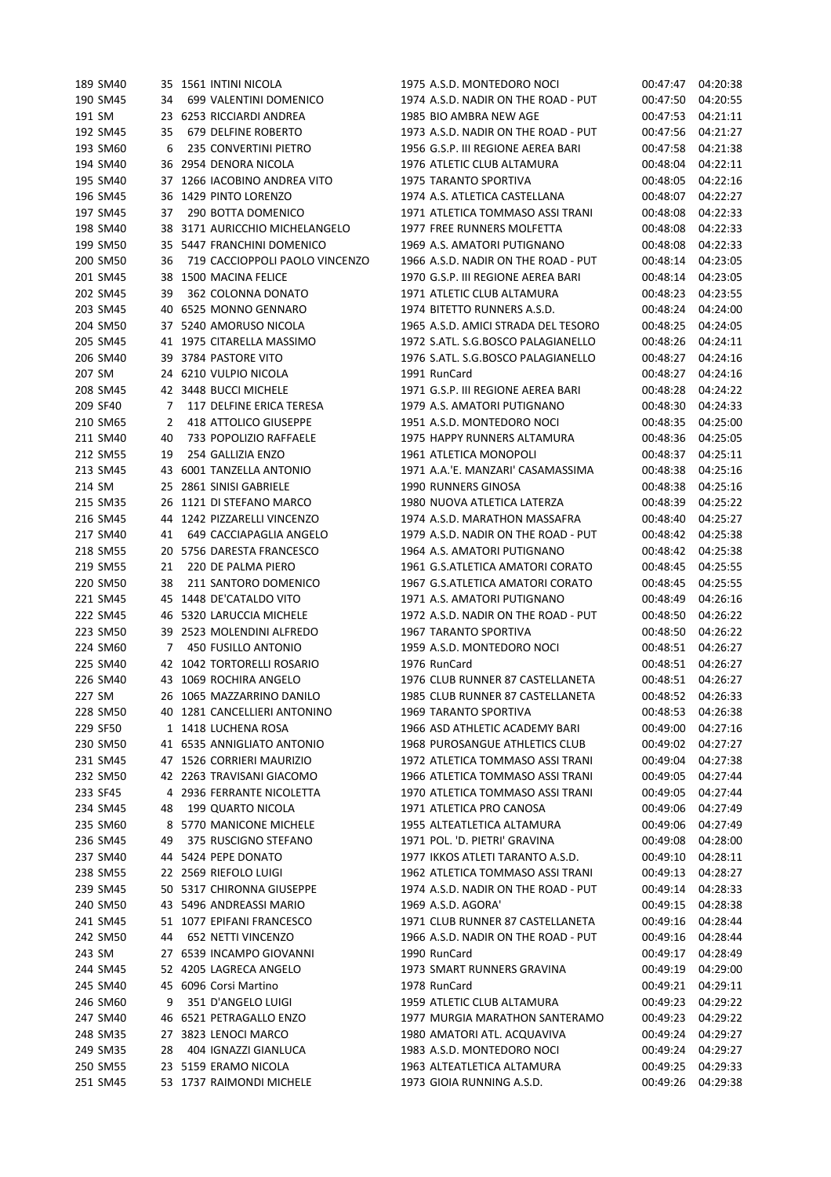| 189 SM40 |    | 35 1561 INTINI NICOLA          | 1975 A.S.D. MONTEDORO NOCI          | 00:47:47 | 04:20:38 |
|----------|----|--------------------------------|-------------------------------------|----------|----------|
| 190 SM45 | 34 | 699 VALENTINI DOMENICO         | 1974 A.S.D. NADIR ON THE ROAD - PUT | 00:47:50 | 04:20:55 |
| 191 SM   |    | 23 6253 RICCIARDI ANDREA       | 1985 BIO AMBRA NEW AGE              | 00:47:53 | 04:21:11 |
| 192 SM45 | 35 | 679 DELFINE ROBERTO            | 1973 A.S.D. NADIR ON THE ROAD - PUT | 00:47:56 | 04:21:27 |
| 193 SM60 | 6  | 235 CONVERTINI PIETRO          | 1956 G.S.P. III REGIONE AEREA BARI  | 00:47:58 | 04:21:38 |
| 194 SM40 |    | 36 2954 DENORA NICOLA          | 1976 ATLETIC CLUB ALTAMURA          | 00:48:04 | 04:22:11 |
| 195 SM40 |    | 37 1266 IACOBINO ANDREA VITO   | <b>1975 TARANTO SPORTIVA</b>        | 00:48:05 | 04:22:16 |
| 196 SM45 |    | 36 1429 PINTO LORENZO          | 1974 A.S. ATLETICA CASTELLANA       | 00:48:07 | 04:22:27 |
| 197 SM45 | 37 | 290 BOTTA DOMENICO             | 1971 ATLETICA TOMMASO ASSI TRANI    | 00:48:08 | 04:22:33 |
| 198 SM40 | 38 | 3171 AURICCHIO MICHELANGELO    | 1977 FREE RUNNERS MOLFETTA          | 00:48:08 | 04:22:33 |
| 199 SM50 |    | 35 5447 FRANCHINI DOMENICO     | 1969 A.S. AMATORI PUTIGNANO         | 00:48:08 | 04:22:33 |
| 200 SM50 | 36 | 719 CACCIOPPOLI PAOLO VINCENZO | 1966 A.S.D. NADIR ON THE ROAD - PUT | 00:48:14 | 04:23:05 |
| 201 SM45 |    | 38 1500 MACINA FELICE          | 1970 G.S.P. III REGIONE AEREA BARI  | 00:48:14 | 04:23:05 |
| 202 SM45 | 39 | 362 COLONNA DONATO             | 1971 ATLETIC CLUB ALTAMURA          | 00:48:23 | 04:23:55 |
| 203 SM45 |    | 40 6525 MONNO GENNARO          | 1974 BITETTO RUNNERS A.S.D.         | 00:48:24 | 04:24:00 |
| 204 SM50 |    | 37 5240 AMORUSO NICOLA         | 1965 A.S.D. AMICI STRADA DEL TESORO | 00:48:25 | 04:24:05 |
| 205 SM45 |    | 41 1975 CITARELLA MASSIMO      | 1972 S.ATL. S.G.BOSCO PALAGIANELLO  | 00:48:26 | 04:24:11 |
| 206 SM40 |    | 39 3784 PASTORE VITO           | 1976 S.ATL. S.G.BOSCO PALAGIANELLO  | 00:48:27 | 04:24:16 |
| 207 SM   |    | 24 6210 VULPIO NICOLA          | 1991 RunCard                        | 00:48:27 | 04:24:16 |
| 208 SM45 |    | 42 3448 BUCCI MICHELE          | 1971 G.S.P. III REGIONE AEREA BARI  | 00:48:28 | 04:24:22 |
| 209 SF40 | 7  | 117 DELFINE ERICA TERESA       | 1979 A.S. AMATORI PUTIGNANO         | 00:48:30 | 04:24:33 |
| 210 SM65 | 2  | 418 ATTOLICO GIUSEPPE          | 1951 A.S.D. MONTEDORO NOCI          | 00:48:35 | 04:25:00 |
| 211 SM40 | 40 | 733 POPOLIZIO RAFFAELE         | 1975 HAPPY RUNNERS ALTAMURA         | 00:48:36 | 04:25:05 |
| 212 SM55 | 19 | 254 GALLIZIA ENZO              | 1961 ATLETICA MONOPOLI              | 00:48:37 | 04:25:11 |
| 213 SM45 |    | 43 6001 TANZELLA ANTONIO       | 1971 A.A.'E. MANZARI' CASAMASSIMA   | 00:48:38 | 04:25:16 |
| 214 SM   |    | 25 2861 SINISI GABRIELE        | 1990 RUNNERS GINOSA                 | 00:48:38 | 04:25:16 |
| 215 SM35 |    | 26 1121 DI STEFANO MARCO       | 1980 NUOVA ATLETICA LATERZA         | 00:48:39 | 04:25:22 |
| 216 SM45 | 44 | 1242 PIZZARELLI VINCENZO       | 1974 A.S.D. MARATHON MASSAFRA       | 00:48:40 | 04:25:27 |
| 217 SM40 | 41 | 649 CACCIAPAGLIA ANGELO        | 1979 A.S.D. NADIR ON THE ROAD - PUT | 00:48:42 | 04:25:38 |
| 218 SM55 | 20 | 5756 DARESTA FRANCESCO         | 1964 A.S. AMATORI PUTIGNANO         | 00:48:42 | 04:25:38 |
| 219 SM55 | 21 | 220 DE PALMA PIERO             | 1961 G.S.ATLETICA AMATORI CORATO    | 00:48:45 | 04:25:55 |
| 220 SM50 | 38 | 211 SANTORO DOMENICO           | 1967 G.S.ATLETICA AMATORI CORATO    | 00:48:45 | 04:25:55 |
| 221 SM45 |    | 45 1448 DE'CATALDO VITO        | 1971 A.S. AMATORI PUTIGNANO         | 00:48:49 | 04:26:16 |
| 222 SM45 |    | 46 5320 LARUCCIA MICHELE       | 1972 A.S.D. NADIR ON THE ROAD - PUT | 00:48:50 | 04:26:22 |
| 223 SM50 |    | 39 2523 MOLENDINI ALFREDO      | 1967 TARANTO SPORTIVA               | 00:48:50 | 04:26:22 |
| 224 SM60 | 7  | 450 FUSILLO ANTONIO            | 1959 A.S.D. MONTEDORO NOCI          | 00:48:51 | 04:26:27 |
| 225 SM40 |    | 42 1042 TORTORELLI ROSARIO     | 1976 RunCard                        | 00:48:51 | 04:26:27 |
| 226 SM40 |    | 43 1069 ROCHIRA ANGELO         | 1976 CLUB RUNNER 87 CASTELLANETA    | 00:48:51 | 04:26:27 |
| 227 SM   |    | 26 1065 MAZZARRINO DANILO      | 1985 CLUB RUNNER 87 CASTELLANETA    | 00:48:52 | 04:26:33 |
| 228 SM50 |    | 40 1281 CANCELLIERI ANTONINO   | 1969 TARANTO SPORTIVA               | 00:48:53 | 04:26:38 |
| 229 SF50 |    | 1 1418 LUCHENA ROSA            | 1966 ASD ATHLETIC ACADEMY BARI      | 00:49:00 | 04:27:16 |
| 230 SM50 |    | 41 6535 ANNIGLIATO ANTONIO     | 1968 PUROSANGUE ATHLETICS CLUB      | 00:49:02 | 04:27:27 |
| 231 SM45 |    | 47 1526 CORRIERI MAURIZIO      | 1972 ATLETICA TOMMASO ASSI TRANI    | 00:49:04 | 04:27:38 |
| 232 SM50 |    | 42 2263 TRAVISANI GIACOMO      | 1966 ATLETICA TOMMASO ASSI TRANI    | 00:49:05 | 04:27:44 |
| 233 SF45 |    | 4 2936 FERRANTE NICOLETTA      | 1970 ATLETICA TOMMASO ASSI TRANI    | 00:49:05 | 04:27:44 |
| 234 SM45 | 48 | 199 QUARTO NICOLA              | 1971 ATLETICA PRO CANOSA            | 00:49:06 | 04:27:49 |
| 235 SM60 |    | 8 5770 MANICONE MICHELE        | 1955 ALTEATLETICA ALTAMURA          | 00:49:06 | 04:27:49 |
| 236 SM45 | 49 | 375 RUSCIGNO STEFANO           | 1971 POL. 'D. PIETRI' GRAVINA       | 00:49:08 | 04:28:00 |
| 237 SM40 |    | 44 5424 PEPE DONATO            | 1977 IKKOS ATLETI TARANTO A.S.D.    | 00:49:10 | 04:28:11 |
| 238 SM55 |    | 22 2569 RIEFOLO LUIGI          | 1962 ATLETICA TOMMASO ASSI TRANI    | 00:49:13 | 04:28:27 |
| 239 SM45 |    | 50 5317 CHIRONNA GIUSEPPE      | 1974 A.S.D. NADIR ON THE ROAD - PUT | 00:49:14 | 04:28:33 |
| 240 SM50 |    | 43 5496 ANDREASSI MARIO        | 1969 A.S.D. AGORA'                  | 00:49:15 | 04:28:38 |
| 241 SM45 |    | 51 1077 EPIFANI FRANCESCO      | 1971 CLUB RUNNER 87 CASTELLANETA    | 00:49:16 | 04:28:44 |
| 242 SM50 | 44 | 652 NETTI VINCENZO             | 1966 A.S.D. NADIR ON THE ROAD - PUT | 00:49:16 | 04:28:44 |
| 243 SM   |    | 27 6539 INCAMPO GIOVANNI       | 1990 RunCard                        | 00:49:17 | 04:28:49 |
| 244 SM45 |    | 52 4205 LAGRECA ANGELO         | 1973 SMART RUNNERS GRAVINA          | 00:49:19 | 04:29:00 |
| 245 SM40 |    | 45 6096 Corsi Martino          | 1978 RunCard                        | 00:49:21 | 04:29:11 |
| 246 SM60 | 9  | 351 D'ANGELO LUIGI             | 1959 ATLETIC CLUB ALTAMURA          | 00:49:23 | 04:29:22 |
| 247 SM40 |    | 46 6521 PETRAGALLO ENZO        | 1977 MURGIA MARATHON SANTERAMO      | 00:49:23 | 04:29:22 |
| 248 SM35 |    | 27 3823 LENOCI MARCO           | 1980 AMATORI ATL. ACQUAVIVA         | 00:49:24 | 04:29:27 |
| 249 SM35 | 28 | 404 IGNAZZI GIANLUCA           | 1983 A.S.D. MONTEDORO NOCI          | 00:49:24 | 04:29:27 |
| 250 SM55 |    | 23 5159 ERAMO NICOLA           | 1963 ALTEATLETICA ALTAMURA          | 00:49:25 | 04:29:33 |
| 251 SM45 |    | 53 1737 RAIMONDI MICHELE       | 1973 GIOIA RUNNING A.S.D.           | 00:49:26 | 04:29:38 |
|          |    |                                |                                     |          |          |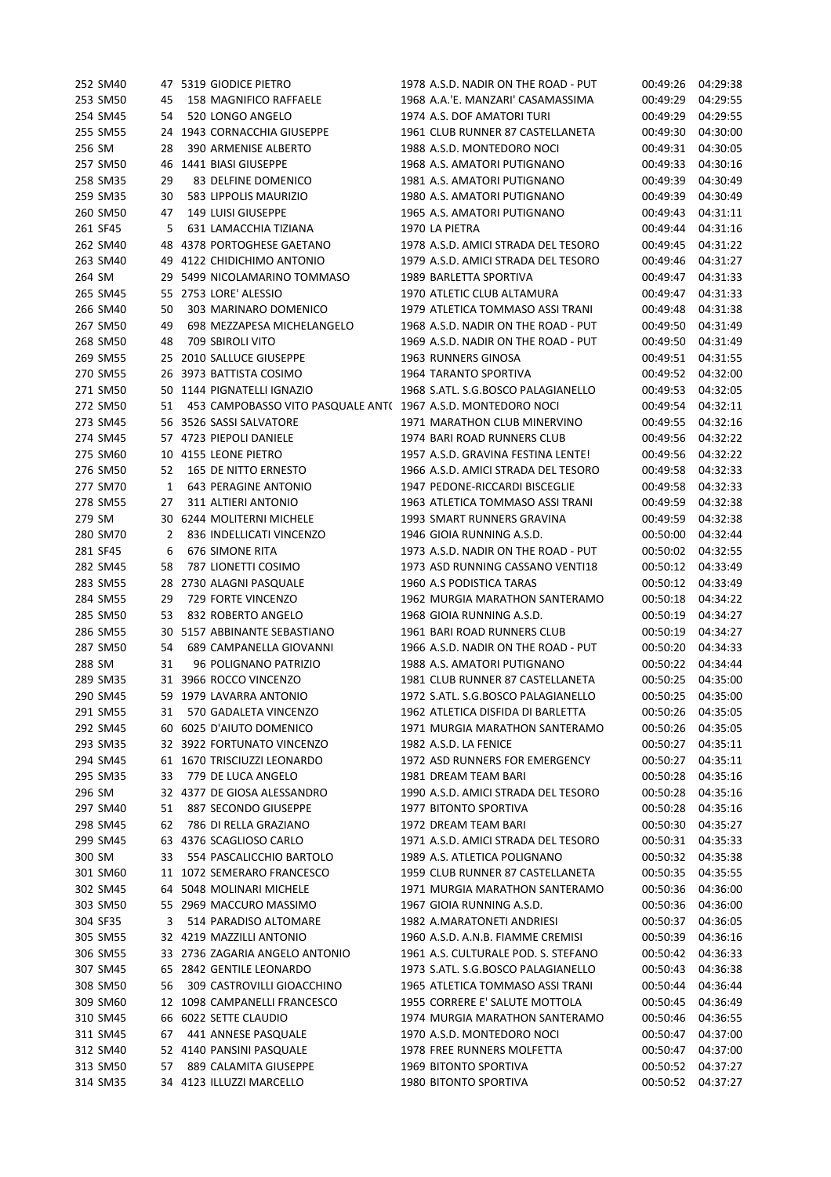|        | 252 SM40 |    | 47 5319 GIODICE PIETRO                                       | 1978 A.S.D. NADIR ON THE ROAD - PUT | 00:49:26 | 04:29:38 |
|--------|----------|----|--------------------------------------------------------------|-------------------------------------|----------|----------|
|        | 253 SM50 | 45 | 158 MAGNIFICO RAFFAELE                                       | 1968 A.A.'E. MANZARI' CASAMASSIMA   | 00:49:29 | 04:29:55 |
|        | 254 SM45 | 54 | 520 LONGO ANGELO                                             | 1974 A.S. DOF AMATORI TURI          | 00:49:29 | 04:29:55 |
|        | 255 SM55 |    | 24 1943 CORNACCHIA GIUSEPPE                                  | 1961 CLUB RUNNER 87 CASTELLANETA    | 00:49:30 | 04:30:00 |
| 256 SM |          | 28 | 390 ARMENISE ALBERTO                                         | 1988 A.S.D. MONTEDORO NOCI          | 00:49:31 | 04:30:05 |
|        | 257 SM50 | 46 | 1441 BIASI GIUSEPPE                                          | 1968 A.S. AMATORI PUTIGNANO         | 00:49:33 | 04:30:16 |
|        | 258 SM35 | 29 | 83 DELFINE DOMENICO                                          | 1981 A.S. AMATORI PUTIGNANO         | 00:49:39 | 04:30:49 |
|        | 259 SM35 | 30 | 583 LIPPOLIS MAURIZIO                                        | 1980 A.S. AMATORI PUTIGNANO         | 00:49:39 | 04:30:49 |
|        | 260 SM50 | 47 | 149 LUISI GIUSEPPE                                           | 1965 A.S. AMATORI PUTIGNANO         | 00:49:43 | 04:31:11 |
|        | 261 SF45 | 5  | 631 LAMACCHIA TIZIANA                                        | 1970 LA PIETRA                      | 00:49:44 | 04:31:16 |
|        | 262 SM40 |    | 48 4378 PORTOGHESE GAETANO                                   | 1978 A.S.D. AMICI STRADA DEL TESORO | 00:49:45 | 04:31:22 |
|        | 263 SM40 |    | 49 4122 CHIDICHIMO ANTONIO                                   | 1979 A.S.D. AMICI STRADA DEL TESORO | 00:49:46 | 04:31:27 |
| 264 SM |          |    | 29 5499 NICOLAMARINO TOMMASO                                 | 1989 BARLETTA SPORTIVA              | 00:49:47 | 04:31:33 |
|        | 265 SM45 |    | 55 2753 LORE' ALESSIO                                        | 1970 ATLETIC CLUB ALTAMURA          | 00:49:47 | 04:31:33 |
|        | 266 SM40 | 50 | 303 MARINARO DOMENICO                                        | 1979 ATLETICA TOMMASO ASSI TRANI    | 00:49:48 | 04:31:38 |
|        | 267 SM50 | 49 | 698 MEZZAPESA MICHELANGELO                                   | 1968 A.S.D. NADIR ON THE ROAD - PUT | 00:49:50 | 04:31:49 |
|        | 268 SM50 |    | <b>709 SBIROLI VITO</b>                                      | 1969 A.S.D. NADIR ON THE ROAD - PUT |          |          |
|        |          | 48 |                                                              |                                     | 00:49:50 | 04:31:49 |
|        | 269 SM55 |    | 25 2010 SALLUCE GIUSEPPE                                     | 1963 RUNNERS GINOSA                 | 00:49:51 | 04:31:55 |
|        | 270 SM55 |    | 26 3973 BATTISTA COSIMO                                      | 1964 TARANTO SPORTIVA               | 00:49:52 | 04:32:00 |
|        | 271 SM50 | 50 | 1144 PIGNATELLI IGNAZIO                                      | 1968 S.ATL. S.G.BOSCO PALAGIANELLO  | 00:49:53 | 04:32:05 |
|        | 272 SM50 | 51 | 453 CAMPOBASSO VITO PASQUALE ANT( 1967 A.S.D. MONTEDORO NOCI |                                     | 00:49:54 | 04:32:11 |
|        | 273 SM45 |    | 56 3526 SASSI SALVATORE                                      | 1971 MARATHON CLUB MINERVINO        | 00:49:55 | 04:32:16 |
|        | 274 SM45 |    | 57 4723 PIEPOLI DANIELE                                      | 1974 BARI ROAD RUNNERS CLUB         | 00:49:56 | 04:32:22 |
|        | 275 SM60 |    | 10 4155 LEONE PIETRO                                         | 1957 A.S.D. GRAVINA FESTINA LENTE!  | 00:49:56 | 04:32:22 |
|        | 276 SM50 | 52 | 165 DE NITTO ERNESTO                                         | 1966 A.S.D. AMICI STRADA DEL TESORO | 00:49:58 | 04:32:33 |
|        | 277 SM70 | 1  | <b>643 PERAGINE ANTONIO</b>                                  | 1947 PEDONE-RICCARDI BISCEGLIE      | 00:49:58 | 04:32:33 |
|        | 278 SM55 | 27 | 311 ALTIERI ANTONIO                                          | 1963 ATLETICA TOMMASO ASSI TRANI    | 00:49:59 | 04:32:38 |
| 279 SM |          |    | 30 6244 MOLITERNI MICHELE                                    | 1993 SMART RUNNERS GRAVINA          | 00:49:59 | 04:32:38 |
|        | 280 SM70 | 2  | 836 INDELLICATI VINCENZO                                     | 1946 GIOIA RUNNING A.S.D.           | 00:50:00 | 04:32:44 |
|        | 281 SF45 | 6  | 676 SIMONE RITA                                              | 1973 A.S.D. NADIR ON THE ROAD - PUT | 00:50:02 | 04:32:55 |
|        | 282 SM45 | 58 | 787 LIONETTI COSIMO                                          | 1973 ASD RUNNING CASSANO VENTI18    | 00:50:12 | 04:33:49 |
|        | 283 SM55 | 28 | 2730 ALAGNI PASQUALE                                         | 1960 A.S PODISTICA TARAS            | 00:50:12 | 04:33:49 |
|        | 284 SM55 | 29 | 729 FORTE VINCENZO                                           | 1962 MURGIA MARATHON SANTERAMO      | 00:50:18 | 04:34:22 |
|        | 285 SM50 | 53 | 832 ROBERTO ANGELO                                           | 1968 GIOIA RUNNING A.S.D.           | 00:50:19 | 04:34:27 |
|        | 286 SM55 | 30 | 5157 ABBINANTE SEBASTIANO                                    | 1961 BARI ROAD RUNNERS CLUB         | 00:50:19 | 04:34:27 |
|        | 287 SM50 | 54 | 689 CAMPANELLA GIOVANNI                                      | 1966 A.S.D. NADIR ON THE ROAD - PUT | 00:50:20 | 04:34:33 |
| 288 SM |          | 31 | 96 POLIGNANO PATRIZIO                                        | 1988 A.S. AMATORI PUTIGNANO         | 00:50:22 | 04:34:44 |
|        | 289 SM35 |    | 31 3966 ROCCO VINCENZO                                       | 1981 CLUB RUNNER 87 CASTELLANETA    | 00:50:25 | 04:35:00 |
|        | 290 SM45 |    | 59 1979 LAVARRA ANTONIO                                      | 1972 S.ATL. S.G.BOSCO PALAGIANELLO  | 00:50:25 | 04:35:00 |
|        | 291 SM55 | 31 | 570 GADALETA VINCENZO                                        | 1962 ATLETICA DISFIDA DI BARLETTA   | 00:50:26 | 04:35:05 |
|        | 292 SM45 |    | 60 6025 D'AIUTO DOMENICO                                     | 1971 MURGIA MARATHON SANTERAMO      | 00:50:26 | 04:35:05 |
|        | 293 SM35 |    | 32 3922 FORTUNATO VINCENZO                                   | 1982 A.S.D. LA FENICE               | 00:50:27 | 04:35:11 |
|        | 294 SM45 |    | 61 1670 TRISCIUZZI LEONARDO                                  | 1972 ASD RUNNERS FOR EMERGENCY      | 00:50:27 | 04:35:11 |
|        | 295 SM35 | 33 | 779 DE LUCA ANGELO                                           | 1981 DREAM TEAM BARI                | 00:50:28 | 04:35:16 |
| 296 SM |          |    | 32 4377 DE GIOSA ALESSANDRO                                  | 1990 A.S.D. AMICI STRADA DEL TESORO | 00:50:28 | 04:35:16 |
|        | 297 SM40 | 51 | 887 SECONDO GIUSEPPE                                         | 1977 BITONTO SPORTIVA               | 00:50:28 | 04:35:16 |
|        | 298 SM45 | 62 | 786 DI RELLA GRAZIANO                                        | 1972 DREAM TEAM BARI                | 00:50:30 | 04:35:27 |
|        | 299 SM45 |    | 63 4376 SCAGLIOSO CARLO                                      | 1971 A.S.D. AMICI STRADA DEL TESORO | 00:50:31 | 04:35:33 |
| 300 SM |          | 33 | 554 PASCALICCHIO BARTOLO                                     | 1989 A.S. ATLETICA POLIGNANO        | 00:50:32 | 04:35:38 |
|        | 301 SM60 |    | 11 1072 SEMERARO FRANCESCO                                   | 1959 CLUB RUNNER 87 CASTELLANETA    | 00:50:35 | 04:35:55 |
|        | 302 SM45 | 64 | 5048 MOLINARI MICHELE                                        | 1971 MURGIA MARATHON SANTERAMO      | 00:50:36 | 04:36:00 |
|        | 303 SM50 |    | 55 2969 MACCURO MASSIMO                                      | 1967 GIOIA RUNNING A.S.D.           | 00:50:36 | 04:36:00 |
|        | 304 SF35 | 3  | 514 PARADISO ALTOMARE                                        | 1982 A.MARATONETI ANDRIESI          | 00:50:37 | 04:36:05 |
|        | 305 SM55 |    | 32 4219 MAZZILLI ANTONIO                                     | 1960 A.S.D. A.N.B. FIAMME CREMISI   | 00:50:39 | 04:36:16 |
|        | 306 SM55 |    | 33 2736 ZAGARIA ANGELO ANTONIO                               | 1961 A.S. CULTURALE POD. S. STEFANO | 00:50:42 | 04:36:33 |
|        | 307 SM45 |    | 65 2842 GENTILE LEONARDO                                     | 1973 S.ATL. S.G.BOSCO PALAGIANELLO  | 00:50:43 | 04:36:38 |
|        | 308 SM50 | 56 | 309 CASTROVILLI GIOACCHINO                                   | 1965 ATLETICA TOMMASO ASSI TRANI    | 00:50:44 | 04:36:44 |
|        | 309 SM60 |    | 12 1098 CAMPANELLI FRANCESCO                                 | 1955 CORRERE E' SALUTE MOTTOLA      | 00:50:45 | 04:36:49 |
|        | 310 SM45 |    | 66 6022 SETTE CLAUDIO                                        | 1974 MURGIA MARATHON SANTERAMO      | 00:50:46 | 04:36:55 |
|        | 311 SM45 | 67 | 441 ANNESE PASQUALE                                          | 1970 A.S.D. MONTEDORO NOCI          | 00:50:47 | 04:37:00 |
|        | 312 SM40 |    | 52 4140 PANSINI PASQUALE                                     | 1978 FREE RUNNERS MOLFETTA          |          |          |
|        |          |    |                                                              |                                     | 00:50:47 | 04:37:00 |
|        | 313 SM50 | 57 | 889 CALAMITA GIUSEPPE                                        | 1969 BITONTO SPORTIVA               | 00:50:52 | 04:37:27 |
|        | 314 SM35 |    | 34 4123 ILLUZZI MARCELLO                                     | 1980 BITONTO SPORTIVA               | 00:50:52 | 04:37:27 |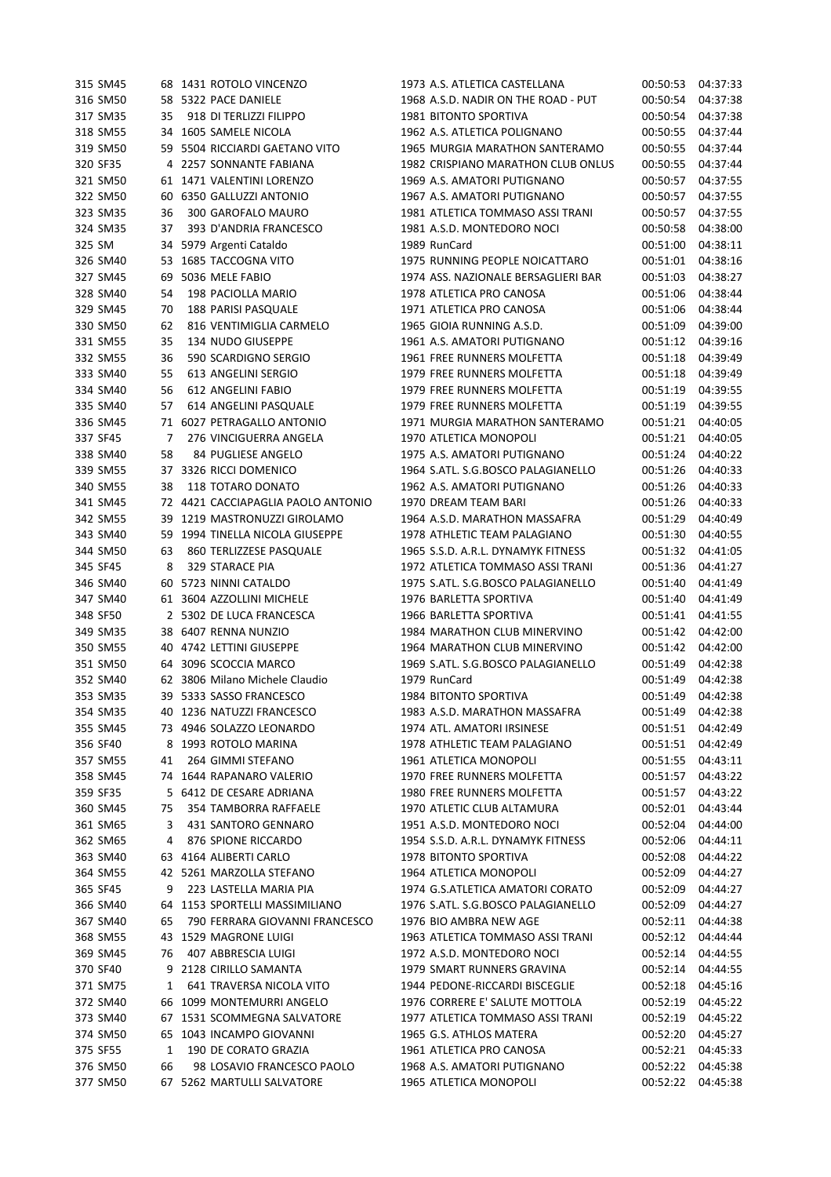| 315 SM45 |    | 68 1431 ROTOLO VINCENZO            | 1973 A.S. ATLETICA CASTELLANA       | 00:50:53 | 04:37:33 |
|----------|----|------------------------------------|-------------------------------------|----------|----------|
| 316 SM50 |    | 58 5322 PACE DANIELE               | 1968 A.S.D. NADIR ON THE ROAD - PUT | 00:50:54 | 04:37:38 |
| 317 SM35 | 35 | 918 DI TERLIZZI FILIPPO            | 1981 BITONTO SPORTIVA               | 00:50:54 | 04:37:38 |
| 318 SM55 |    | 34 1605 SAMELE NICOLA              | 1962 A.S. ATLETICA POLIGNANO        | 00:50:55 | 04:37:44 |
| 319 SM50 |    | 59 5504 RICCIARDI GAETANO VITO     | 1965 MURGIA MARATHON SANTERAMO      | 00:50:55 | 04:37:44 |
| 320 SF35 |    | 4 2257 SONNANTE FABIANA            | 1982 CRISPIANO MARATHON CLUB ONLUS  | 00:50:55 | 04:37:44 |
| 321 SM50 |    | 61 1471 VALENTINI LORENZO          | 1969 A.S. AMATORI PUTIGNANO         | 00:50:57 | 04:37:55 |
| 322 SM50 |    | 60 6350 GALLUZZI ANTONIO           | 1967 A.S. AMATORI PUTIGNANO         | 00:50:57 | 04:37:55 |
| 323 SM35 | 36 | 300 GAROFALO MAURO                 | 1981 ATLETICA TOMMASO ASSI TRANI    | 00:50:57 | 04:37:55 |
| 324 SM35 | 37 | 393 D'ANDRIA FRANCESCO             | 1981 A.S.D. MONTEDORO NOCI          | 00:50:58 | 04:38:00 |
| 325 SM   |    | 34 5979 Argenti Cataldo            | 1989 RunCard                        | 00:51:00 | 04:38:11 |
| 326 SM40 |    | 53 1685 TACCOGNA VITO              | 1975 RUNNING PEOPLE NOICATTARO      | 00:51:01 | 04:38:16 |
| 327 SM45 |    | 69 5036 MELE FABIO                 | 1974 ASS. NAZIONALE BERSAGLIERI BAR | 00:51:03 | 04:38:27 |
| 328 SM40 | 54 | 198 PACIOLLA MARIO                 | 1978 ATLETICA PRO CANOSA            | 00:51:06 | 04:38:44 |
| 329 SM45 | 70 | 188 PARISI PASQUALE                | 1971 ATLETICA PRO CANOSA            | 00:51:06 | 04:38:44 |
| 330 SM50 | 62 | 816 VENTIMIGLIA CARMELO            | 1965 GIOIA RUNNING A.S.D.           | 00:51:09 | 04:39:00 |
| 331 SM55 |    | 134 NUDO GIUSEPPE                  | 1961 A.S. AMATORI PUTIGNANO         |          | 04:39:16 |
|          | 35 |                                    |                                     | 00:51:12 |          |
| 332 SM55 | 36 | 590 SCARDIGNO SERGIO               | 1961 FREE RUNNERS MOLFETTA          | 00:51:18 | 04:39:49 |
| 333 SM40 | 55 | 613 ANGELINI SERGIO                | 1979 FREE RUNNERS MOLFETTA          | 00:51:18 | 04:39:49 |
| 334 SM40 | 56 | 612 ANGELINI FABIO                 | 1979 FREE RUNNERS MOLFETTA          | 00:51:19 | 04:39:55 |
| 335 SM40 | 57 | 614 ANGELINI PASQUALE              | 1979 FREE RUNNERS MOLFETTA          | 00:51:19 | 04:39:55 |
| 336 SM45 |    | 71 6027 PETRAGALLO ANTONIO         | 1971 MURGIA MARATHON SANTERAMO      | 00:51:21 | 04:40:05 |
| 337 SF45 | 7  | 276 VINCIGUERRA ANGELA             | 1970 ATLETICA MONOPOLI              | 00:51:21 | 04:40:05 |
| 338 SM40 | 58 | 84 PUGLIESE ANGELO                 | 1975 A.S. AMATORI PUTIGNANO         | 00:51:24 | 04:40:22 |
| 339 SM55 |    | 37 3326 RICCI DOMENICO             | 1964 S.ATL. S.G.BOSCO PALAGIANELLO  | 00:51:26 | 04:40:33 |
| 340 SM55 | 38 | 118 TOTARO DONATO                  | 1962 A.S. AMATORI PUTIGNANO         | 00:51:26 | 04:40:33 |
| 341 SM45 |    | 72 4421 CACCIAPAGLIA PAOLO ANTONIO | 1970 DREAM TEAM BARI                | 00:51:26 | 04:40:33 |
| 342 SM55 |    | 39 1219 MASTRONUZZI GIROLAMO       | 1964 A.S.D. MARATHON MASSAFRA       | 00:51:29 | 04:40:49 |
| 343 SM40 |    | 59 1994 TINELLA NICOLA GIUSEPPE    | 1978 ATHLETIC TEAM PALAGIANO        | 00:51:30 | 04:40:55 |
| 344 SM50 | 63 | 860 TERLIZZESE PASQUALE            | 1965 S.S.D. A.R.L. DYNAMYK FITNESS  | 00:51:32 | 04:41:05 |
| 345 SF45 | 8  | 329 STARACE PIA                    | 1972 ATLETICA TOMMASO ASSI TRANI    | 00:51:36 | 04:41:27 |
| 346 SM40 |    | 60 5723 NINNI CATALDO              | 1975 S.ATL. S.G.BOSCO PALAGIANELLO  | 00:51:40 | 04:41:49 |
| 347 SM40 |    | 61 3604 AZZOLLINI MICHELE          | 1976 BARLETTA SPORTIVA              | 00:51:40 | 04:41:49 |
| 348 SF50 |    | 2 5302 DE LUCA FRANCESCA           | 1966 BARLETTA SPORTIVA              | 00:51:41 | 04:41:55 |
| 349 SM35 |    | 38 6407 RENNA NUNZIO               | 1984 MARATHON CLUB MINERVINO        | 00:51:42 | 04:42:00 |
| 350 SM55 |    | 40 4742 LETTINI GIUSEPPE           | 1964 MARATHON CLUB MINERVINO        | 00:51:42 | 04:42:00 |
| 351 SM50 |    | 64 3096 SCOCCIA MARCO              | 1969 S.ATL. S.G.BOSCO PALAGIANELLO  | 00:51:49 | 04:42:38 |
| 352 SM40 |    | 62 3806 Milano Michele Claudio     | 1979 RunCard                        | 00:51:49 | 04:42:38 |
| 353 SM35 |    | 39 5333 SASSO FRANCESCO            | 1984 BITONTO SPORTIVA               | 00:51:49 | 04:42:38 |
| 354 SM35 |    | 40 1236 NATUZZI FRANCESCO          | 1983 A.S.D. MARATHON MASSAFRA       | 00:51:49 | 04:42:38 |
| 355 SM45 |    | 73 4946 SOLAZZO LEONARDO           | 1974 ATL. AMATORI IRSINESE          | 00:51:51 | 04:42:49 |
| 356 SF40 | 8  | 1993 ROTOLO MARINA                 | 1978 ATHLETIC TEAM PALAGIANO        | 00:51:51 | 04:42:49 |
| 357 SM55 | 41 | 264 GIMMI STEFANO                  | 1961 ATLETICA MONOPOLI              | 00:51:55 | 04:43:11 |
| 358 SM45 |    | 74 1644 RAPANARO VALERIO           | 1970 FREE RUNNERS MOLFETTA          | 00:51:57 | 04:43:22 |
| 359 SF35 |    | 5 6412 DE CESARE ADRIANA           | 1980 FREE RUNNERS MOLFETTA          | 00:51:57 | 04:43:22 |
| 360 SM45 | 75 | 354 TAMBORRA RAFFAELE              | 1970 ATLETIC CLUB ALTAMURA          | 00:52:01 | 04:43:44 |
| 361 SM65 | 3  | 431 SANTORO GENNARO                | 1951 A.S.D. MONTEDORO NOCI          | 00:52:04 | 04:44:00 |
| 362 SM65 |    |                                    |                                     |          |          |
|          | 4  | 876 SPIONE RICCARDO                | 1954 S.S.D. A.R.L. DYNAMYK FITNESS  | 00:52:06 | 04:44:11 |
| 363 SM40 |    | 63 4164 ALIBERTI CARLO             | 1978 BITONTO SPORTIVA               | 00:52:08 | 04:44:22 |
| 364 SM55 |    | 42 5261 MARZOLLA STEFANO           | 1964 ATLETICA MONOPOLI              | 00:52:09 | 04:44:27 |
| 365 SF45 | 9  | 223 LASTELLA MARIA PIA             | 1974 G.S.ATLETICA AMATORI CORATO    | 00:52:09 | 04:44:27 |
| 366 SM40 | 64 | 1153 SPORTELLI MASSIMILIANO        | 1976 S.ATL. S.G.BOSCO PALAGIANELLO  | 00:52:09 | 04:44:27 |
| 367 SM40 | 65 | 790 FERRARA GIOVANNI FRANCESCO     | 1976 BIO AMBRA NEW AGE              | 00:52:11 | 04:44:38 |
| 368 SM55 |    | 43 1529 MAGRONE LUIGI              | 1963 ATLETICA TOMMASO ASSI TRANI    | 00:52:12 | 04:44:44 |
| 369 SM45 | 76 | 407 ABBRESCIA LUIGI                | 1972 A.S.D. MONTEDORO NOCI          | 00:52:14 | 04:44:55 |
| 370 SF40 | 9  | 2128 CIRILLO SAMANTA               | 1979 SMART RUNNERS GRAVINA          | 00:52:14 | 04:44:55 |
| 371 SM75 | 1  | 641 TRAVERSA NICOLA VITO           | 1944 PEDONE-RICCARDI BISCEGLIE      | 00:52:18 | 04:45:16 |
| 372 SM40 |    | 66 1099 MONTEMURRI ANGELO          | 1976 CORRERE E' SALUTE MOTTOLA      | 00:52:19 | 04:45:22 |
| 373 SM40 |    | 67 1531 SCOMMEGNA SALVATORE        | 1977 ATLETICA TOMMASO ASSI TRANI    | 00:52:19 | 04:45:22 |
| 374 SM50 |    | 65 1043 INCAMPO GIOVANNI           | 1965 G.S. ATHLOS MATERA             | 00:52:20 | 04:45:27 |
| 375 SF55 | 1  | 190 DE CORATO GRAZIA               | 1961 ATLETICA PRO CANOSA            | 00:52:21 | 04:45:33 |
| 376 SM50 | 66 | 98 LOSAVIO FRANCESCO PAOLO         | 1968 A.S. AMATORI PUTIGNANO         | 00:52:22 | 04:45:38 |
|          |    | 67 5262 MARTULLI SALVATORE         | 1965 ATLETICA MONOPOLI              | 00:52:22 | 04:45:38 |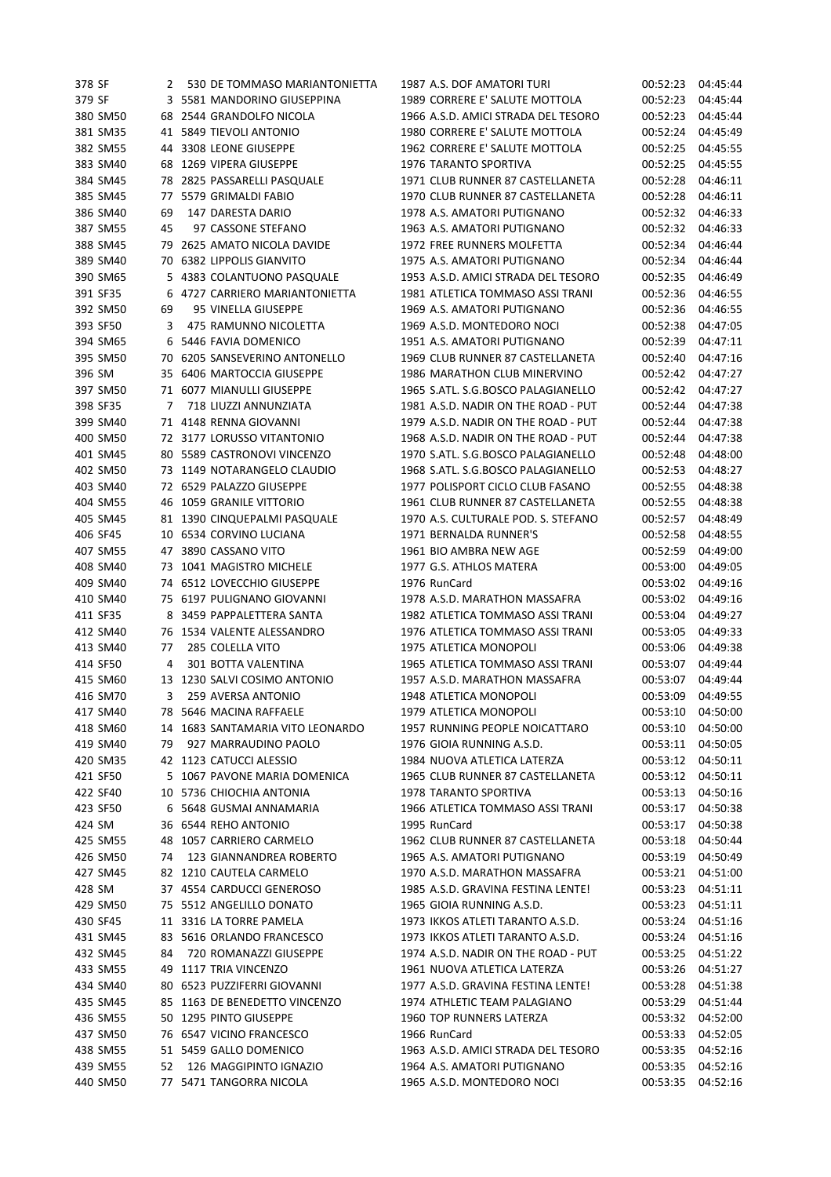| 378 SF   | 2  | 530 DE TOMMASO MARIANTONIETTA    | 1987 A.S. DOF AMATORI TURI          | 00:52:23 | 04:45:44 |
|----------|----|----------------------------------|-------------------------------------|----------|----------|
| 379 SF   |    | 3 5581 MANDORINO GIUSEPPINA      | 1989 CORRERE E' SALUTE MOTTOLA      | 00:52:23 | 04:45:44 |
| 380 SM50 |    | 68 2544 GRANDOLFO NICOLA         | 1966 A.S.D. AMICI STRADA DEL TESORO | 00:52:23 | 04:45:44 |
| 381 SM35 |    | 41 5849 TIEVOLI ANTONIO          | 1980 CORRERE E' SALUTE MOTTOLA      | 00:52:24 | 04:45:49 |
| 382 SM55 | 44 | 3308 LEONE GIUSEPPE              | 1962 CORRERE E' SALUTE MOTTOLA      | 00:52:25 | 04:45:55 |
| 383 SM40 |    | 68 1269 VIPERA GIUSEPPE          | 1976 TARANTO SPORTIVA               | 00:52:25 | 04:45:55 |
| 384 SM45 |    | 78 2825 PASSARELLI PASQUALE      | 1971 CLUB RUNNER 87 CASTELLANETA    | 00:52:28 | 04:46:11 |
| 385 SM45 |    | 77 5579 GRIMALDI FABIO           | 1970 CLUB RUNNER 87 CASTELLANETA    | 00:52:28 | 04:46:11 |
| 386 SM40 | 69 | 147 DARESTA DARIO                | 1978 A.S. AMATORI PUTIGNANO         | 00:52:32 | 04:46:33 |
| 387 SM55 | 45 | 97 CASSONE STEFANO               | 1963 A.S. AMATORI PUTIGNANO         | 00:52:32 | 04:46:33 |
| 388 SM45 |    | 79 2625 AMATO NICOLA DAVIDE      | 1972 FREE RUNNERS MOLFETTA          | 00:52:34 | 04:46:44 |
| 389 SM40 |    | 70 6382 LIPPOLIS GIANVITO        | 1975 A.S. AMATORI PUTIGNANO         | 00:52:34 | 04:46:44 |
| 390 SM65 |    | 5 4383 COLANTUONO PASQUALE       | 1953 A.S.D. AMICI STRADA DEL TESORO | 00:52:35 | 04:46:49 |
| 391 SF35 |    | 6 4727 CARRIERO MARIANTONIETTA   | 1981 ATLETICA TOMMASO ASSI TRANI    | 00:52:36 | 04:46:55 |
| 392 SM50 | 69 | 95 VINELLA GIUSEPPE              | 1969 A.S. AMATORI PUTIGNANO         | 00:52:36 | 04:46:55 |
| 393 SF50 | 3  | 475 RAMUNNO NICOLETTA            | 1969 A.S.D. MONTEDORO NOCI          | 00:52:38 | 04:47:05 |
| 394 SM65 |    | 6 5446 FAVIA DOMENICO            | 1951 A.S. AMATORI PUTIGNANO         | 00:52:39 | 04:47:11 |
| 395 SM50 |    | 70 6205 SANSEVERINO ANTONELLO    | 1969 CLUB RUNNER 87 CASTELLANETA    | 00:52:40 | 04:47:16 |
| 396 SM   |    | 35 6406 MARTOCCIA GIUSEPPE       | 1986 MARATHON CLUB MINERVINO        | 00:52:42 | 04:47:27 |
| 397 SM50 |    | 71 6077 MIANULLI GIUSEPPE        | 1965 S.ATL. S.G.BOSCO PALAGIANELLO  | 00:52:42 | 04:47:27 |
| 398 SF35 | 7  | 718 LIUZZI ANNUNZIATA            | 1981 A.S.D. NADIR ON THE ROAD - PUT | 00:52:44 | 04:47:38 |
| 399 SM40 |    | 71 4148 RENNA GIOVANNI           | 1979 A.S.D. NADIR ON THE ROAD - PUT | 00:52:44 | 04:47:38 |
| 400 SM50 |    | 72 3177 LORUSSO VITANTONIO       | 1968 A.S.D. NADIR ON THE ROAD - PUT | 00:52:44 | 04:47:38 |
|          |    | 80 5589 CASTRONOVI VINCENZO      | 1970 S.ATL. S.G.BOSCO PALAGIANELLO  |          |          |
| 401 SM45 |    |                                  | 1968 S.ATL. S.G.BOSCO PALAGIANELLO  | 00:52:48 | 04:48:00 |
| 402 SM50 |    | 73 1149 NOTARANGELO CLAUDIO      |                                     | 00:52:53 | 04:48:27 |
| 403 SM40 |    | 72 6529 PALAZZO GIUSEPPE         | 1977 POLISPORT CICLO CLUB FASANO    | 00:52:55 | 04:48:38 |
| 404 SM55 |    | 46 1059 GRANILE VITTORIO         | 1961 CLUB RUNNER 87 CASTELLANETA    | 00:52:55 | 04:48:38 |
| 405 SM45 |    | 81 1390 CINQUEPALMI PASQUALE     | 1970 A.S. CULTURALE POD. S. STEFANO | 00:52:57 | 04:48:49 |
| 406 SF45 |    | 10 6534 CORVINO LUCIANA          | 1971 BERNALDA RUNNER'S              | 00:52:58 | 04:48:55 |
| 407 SM55 |    | 47 3890 CASSANO VITO             | 1961 BIO AMBRA NEW AGE              | 00:52:59 | 04:49:00 |
| 408 SM40 |    | 73 1041 MAGISTRO MICHELE         | 1977 G.S. ATHLOS MATERA             | 00:53:00 | 04:49:05 |
| 409 SM40 |    | 74 6512 LOVECCHIO GIUSEPPE       | 1976 RunCard                        | 00:53:02 | 04:49:16 |
| 410 SM40 |    | 75 6197 PULIGNANO GIOVANNI       | 1978 A.S.D. MARATHON MASSAFRA       | 00:53:02 | 04:49:16 |
| 411 SF35 |    | 8 3459 PAPPALETTERA SANTA        | 1982 ATLETICA TOMMASO ASSI TRANI    | 00:53:04 | 04:49:27 |
| 412 SM40 |    | 76 1534 VALENTE ALESSANDRO       | 1976 ATLETICA TOMMASO ASSI TRANI    | 00:53:05 | 04:49:33 |
| 413 SM40 | 77 | 285 COLELLA VITO                 | 1975 ATLETICA MONOPOLI              | 00:53:06 | 04:49:38 |
| 414 SF50 | 4  | 301 BOTTA VALENTINA              | 1965 ATLETICA TOMMASO ASSI TRANI    | 00:53:07 | 04:49:44 |
| 415 SM60 |    | 13 1230 SALVI COSIMO ANTONIO     | 1957 A.S.D. MARATHON MASSAFRA       | 00:53:07 | 04:49:44 |
| 416 SM70 | 3  | 259 AVERSA ANTONIO               | 1948 ATLETICA MONOPOLI              | 00:53:09 | 04:49:55 |
| 417 SM40 |    | 78 5646 MACINA RAFFAELE          | 1979 ATLETICA MONOPOLI              | 00:53:10 | 04:50:00 |
| 418 SM60 |    | 14 1683 SANTAMARIA VITO LEONARDO | 1957 RUNNING PEOPLE NOICATTARO      | 00:53:10 | 04:50:00 |
| 419 SM40 | 79 | 927 MARRAUDINO PAOLO             | 1976 GIOIA RUNNING A.S.D.           | 00:53:11 | 04:50:05 |
| 420 SM35 |    | 42 1123 CATUCCI ALESSIO          | 1984 NUOVA ATLETICA LATERZA         | 00:53:12 | 04:50:11 |
| 421 SF50 |    | 5 1067 PAVONE MARIA DOMENICA     | 1965 CLUB RUNNER 87 CASTELLANETA    | 00:53:12 | 04:50:11 |
| 422 SF40 |    | 10 5736 CHIOCHIA ANTONIA         | 1978 TARANTO SPORTIVA               | 00:53:13 | 04:50:16 |
| 423 SF50 |    | 6 5648 GUSMAI ANNAMARIA          | 1966 ATLETICA TOMMASO ASSI TRANI    | 00:53:17 | 04:50:38 |
| 424 SM   |    | 36 6544 REHO ANTONIO             | 1995 RunCard                        | 00:53:17 | 04:50:38 |
| 425 SM55 |    | 48 1057 CARRIERO CARMELO         | 1962 CLUB RUNNER 87 CASTELLANETA    | 00:53:18 | 04:50:44 |
| 426 SM50 | 74 | 123 GIANNANDREA ROBERTO          | 1965 A.S. AMATORI PUTIGNANO         | 00:53:19 | 04:50:49 |
| 427 SM45 |    | 82 1210 CAUTELA CARMELO          | 1970 A.S.D. MARATHON MASSAFRA       | 00:53:21 | 04:51:00 |
| 428 SM   |    | 37 4554 CARDUCCI GENEROSO        | 1985 A.S.D. GRAVINA FESTINA LENTE!  | 00:53:23 | 04:51:11 |
| 429 SM50 |    | 75 5512 ANGELILLO DONATO         | 1965 GIOIA RUNNING A.S.D.           | 00:53:23 | 04:51:11 |
| 430 SF45 |    | 11 3316 LA TORRE PAMELA          | 1973 IKKOS ATLETI TARANTO A.S.D.    | 00:53:24 | 04:51:16 |
| 431 SM45 |    | 83 5616 ORLANDO FRANCESCO        | 1973 IKKOS ATLETI TARANTO A.S.D.    | 00:53:24 | 04:51:16 |
| 432 SM45 | 84 | 720 ROMANAZZI GIUSEPPE           | 1974 A.S.D. NADIR ON THE ROAD - PUT | 00:53:25 | 04:51:22 |
| 433 SM55 |    | 49 1117 TRIA VINCENZO            | 1961 NUOVA ATLETICA LATERZA         | 00:53:26 | 04:51:27 |
| 434 SM40 |    | 80 6523 PUZZIFERRI GIOVANNI      | 1977 A.S.D. GRAVINA FESTINA LENTE!  | 00:53:28 | 04:51:38 |
| 435 SM45 |    | 85 1163 DE BENEDETTO VINCENZO    | 1974 ATHLETIC TEAM PALAGIANO        | 00:53:29 | 04:51:44 |
| 436 SM55 |    | 50 1295 PINTO GIUSEPPE           | 1960 TOP RUNNERS LATERZA            | 00:53:32 | 04:52:00 |
| 437 SM50 |    | 76 6547 VICINO FRANCESCO         | 1966 RunCard                        | 00:53:33 | 04:52:05 |
| 438 SM55 |    | 51 5459 GALLO DOMENICO           | 1963 A.S.D. AMICI STRADA DEL TESORO | 00:53:35 | 04:52:16 |
| 439 SM55 | 52 | 126 MAGGIPINTO IGNAZIO           | 1964 A.S. AMATORI PUTIGNANO         | 00:53:35 | 04:52:16 |
| 440 SM50 |    | 77 5471 TANGORRA NICOLA          | 1965 A.S.D. MONTEDORO NOCI          | 00:53:35 | 04:52:16 |
|          |    |                                  |                                     |          |          |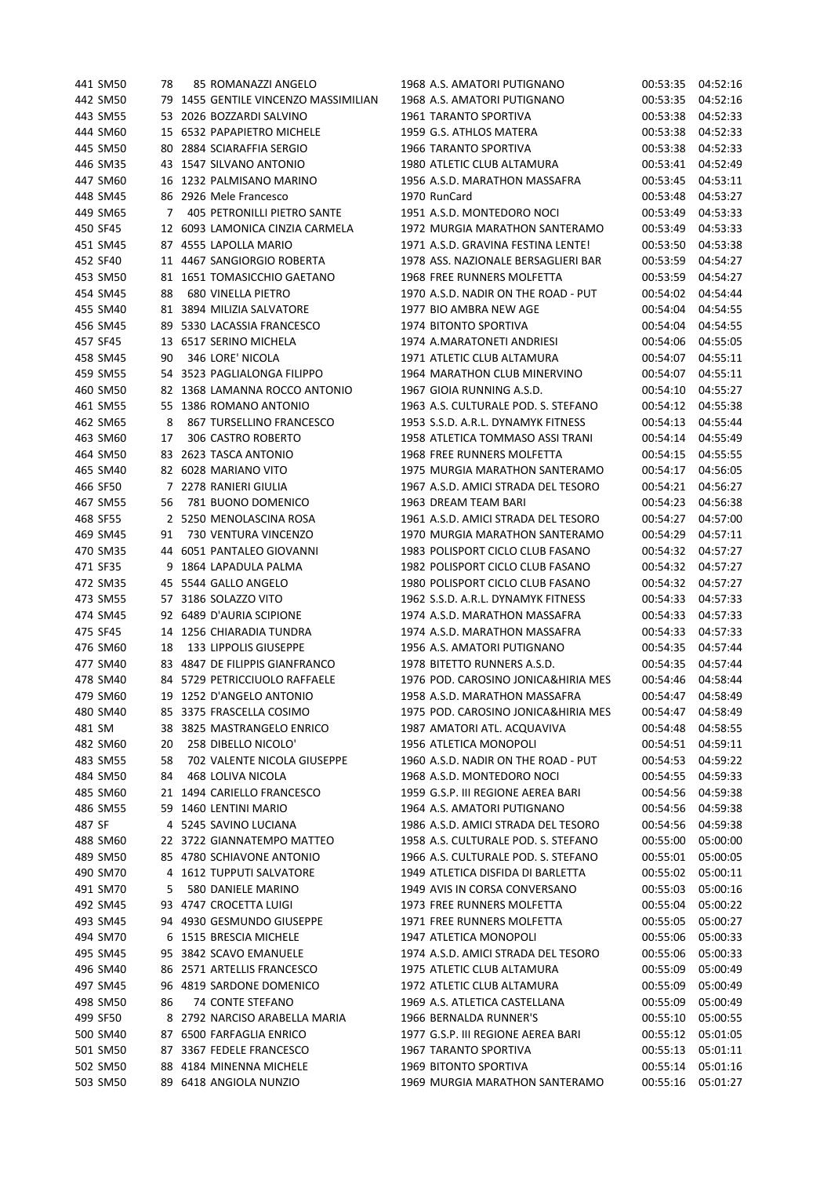| 441 SM50 | 78 | 85 ROMANAZZI ANGELO                  | 1968 A.S. AMATORI PUTIGNANO         | 00:53:35 | 04:52:16 |
|----------|----|--------------------------------------|-------------------------------------|----------|----------|
| 442 SM50 |    | 79 1455 GENTILE VINCENZO MASSIMILIAN | 1968 A.S. AMATORI PUTIGNANO         | 00:53:35 | 04:52:16 |
| 443 SM55 |    | 53 2026 BOZZARDI SALVINO             | 1961 TARANTO SPORTIVA               | 00:53:38 | 04:52:33 |
| 444 SM60 |    | 15 6532 PAPAPIETRO MICHELE           | 1959 G.S. ATHLOS MATERA             | 00:53:38 | 04:52:33 |
| 445 SM50 |    | 80 2884 SCIARAFFIA SERGIO            | 1966 TARANTO SPORTIVA               | 00:53:38 | 04:52:33 |
| 446 SM35 |    | 43 1547 SILVANO ANTONIO              | 1980 ATLETIC CLUB ALTAMURA          | 00:53:41 | 04:52:49 |
| 447 SM60 |    | 16 1232 PALMISANO MARINO             | 1956 A.S.D. MARATHON MASSAFRA       | 00:53:45 | 04:53:11 |
| 448 SM45 |    | 86 2926 Mele Francesco               | 1970 RunCard                        | 00:53:48 | 04:53:27 |
| 449 SM65 | 7  | 405 PETRONILLI PIETRO SANTE          | 1951 A.S.D. MONTEDORO NOCI          | 00:53:49 | 04:53:33 |
| 450 SF45 |    | 12 6093 LAMONICA CINZIA CARMELA      | 1972 MURGIA MARATHON SANTERAMO      | 00:53:49 | 04:53:33 |
| 451 SM45 |    | 87 4555 LAPOLLA MARIO                | 1971 A.S.D. GRAVINA FESTINA LENTE!  | 00:53:50 | 04:53:38 |
| 452 SF40 |    | 11 4467 SANGIORGIO ROBERTA           | 1978 ASS. NAZIONALE BERSAGLIERI BAR | 00:53:59 | 04:54:27 |
| 453 SM50 |    | 81 1651 TOMASICCHIO GAETANO          | 1968 FREE RUNNERS MOLFETTA          | 00:53:59 | 04:54:27 |
| 454 SM45 | 88 | <b>680 VINELLA PIETRO</b>            | 1970 A.S.D. NADIR ON THE ROAD - PUT | 00:54:02 | 04:54:44 |
| 455 SM40 |    | 81 3894 MILIZIA SALVATORE            | 1977 BIO AMBRA NEW AGE              | 00:54:04 | 04:54:55 |
| 456 SM45 |    | 89 5330 LACASSIA FRANCESCO           | 1974 BITONTO SPORTIVA               | 00:54:04 | 04:54:55 |
| 457 SF45 |    | 13 6517 SERINO MICHELA               | 1974 A.MARATONETI ANDRIESI          | 00:54:06 | 04:55:05 |
| 458 SM45 | 90 | 346 LORE' NICOLA                     | 1971 ATLETIC CLUB ALTAMURA          | 00:54:07 | 04:55:11 |
|          |    |                                      |                                     |          |          |
| 459 SM55 |    | 54 3523 PAGLIALONGA FILIPPO          | 1964 MARATHON CLUB MINERVINO        | 00:54:07 | 04:55:11 |
| 460 SM50 |    | 82 1368 LAMANNA ROCCO ANTONIO        | 1967 GIOIA RUNNING A.S.D.           | 00:54:10 | 04:55:27 |
| 461 SM55 |    | 55 1386 ROMANO ANTONIO               | 1963 A.S. CULTURALE POD. S. STEFANO | 00:54:12 | 04:55:38 |
| 462 SM65 | 8  | 867 TURSELLINO FRANCESCO             | 1953 S.S.D. A.R.L. DYNAMYK FITNESS  | 00:54:13 | 04:55:44 |
| 463 SM60 | 17 | 306 CASTRO ROBERTO                   | 1958 ATLETICA TOMMASO ASSI TRANI    | 00:54:14 | 04:55:49 |
| 464 SM50 |    | 83 2623 TASCA ANTONIO                | 1968 FREE RUNNERS MOLFETTA          | 00:54:15 | 04:55:55 |
| 465 SM40 |    | 82 6028 MARIANO VITO                 | 1975 MURGIA MARATHON SANTERAMO      | 00:54:17 | 04:56:05 |
| 466 SF50 |    | 7 2278 RANIERI GIULIA                | 1967 A.S.D. AMICI STRADA DEL TESORO | 00:54:21 | 04:56:27 |
| 467 SM55 | 56 | 781 BUONO DOMENICO                   | 1963 DREAM TEAM BARI                | 00:54:23 | 04:56:38 |
| 468 SF55 |    | 2 5250 MENOLASCINA ROSA              | 1961 A.S.D. AMICI STRADA DEL TESORO | 00:54:27 | 04:57:00 |
| 469 SM45 | 91 | 730 VENTURA VINCENZO                 | 1970 MURGIA MARATHON SANTERAMO      | 00:54:29 | 04:57:11 |
| 470 SM35 |    | 44 6051 PANTALEO GIOVANNI            | 1983 POLISPORT CICLO CLUB FASANO    | 00:54:32 | 04:57:27 |
| 471 SF35 | 9  | 1864 LAPADULA PALMA                  | 1982 POLISPORT CICLO CLUB FASANO    | 00:54:32 | 04:57:27 |
| 472 SM35 |    | 45 5544 GALLO ANGELO                 | 1980 POLISPORT CICLO CLUB FASANO    | 00:54:32 | 04:57:27 |
| 473 SM55 |    | 57 3186 SOLAZZO VITO                 | 1962 S.S.D. A.R.L. DYNAMYK FITNESS  | 00:54:33 | 04:57:33 |
| 474 SM45 |    | 92 6489 D'AURIA SCIPIONE             | 1974 A.S.D. MARATHON MASSAFRA       | 00:54:33 | 04:57:33 |
| 475 SF45 |    | 14 1256 CHIARADIA TUNDRA             | 1974 A.S.D. MARATHON MASSAFRA       | 00:54:33 | 04:57:33 |
| 476 SM60 | 18 | 133 LIPPOLIS GIUSEPPE                | 1956 A.S. AMATORI PUTIGNANO         | 00:54:35 | 04:57:44 |
| 477 SM40 |    | 83 4847 DE FILIPPIS GIANFRANCO       | 1978 BITETTO RUNNERS A.S.D.         | 00:54:35 | 04:57:44 |
| 478 SM40 |    | 84 5729 PETRICCIUOLO RAFFAELE        | 1976 POD. CAROSINO JONICA&HIRIA MES | 00:54:46 | 04:58:44 |
| 479 SM60 |    | 19 1252 D'ANGELO ANTONIO             | 1958 A.S.D. MARATHON MASSAFRA       | 00:54:47 | 04:58:49 |
| 480 SM40 |    | 85 3375 FRASCELLA COSIMO             | 1975 POD. CAROSINO JONICA&HIRIA MES | 00:54:47 | 04:58:49 |
| 481 SM   |    | 38 3825 MASTRANGELO ENRICO           | 1987 AMATORI ATL. ACQUAVIVA         | 00:54:48 | 04:58:55 |
| 482 SM60 | 20 | 258 DIBELLO NICOLO'                  | 1956 ATLETICA MONOPOLI              | 00:54:51 | 04:59:11 |
| 483 SM55 | 58 | 702 VALENTE NICOLA GIUSEPPE          | 1960 A.S.D. NADIR ON THE ROAD - PUT | 00:54:53 | 04:59:22 |
| 484 SM50 | 84 | 468 LOLIVA NICOLA                    | 1968 A.S.D. MONTEDORO NOCI          | 00:54:55 | 04:59:33 |
| 485 SM60 |    | 21 1494 CARIELLO FRANCESCO           | 1959 G.S.P. III REGIONE AEREA BARI  | 00:54:56 | 04:59:38 |
| 486 SM55 |    | 59 1460 LENTINI MARIO                | 1964 A.S. AMATORI PUTIGNANO         | 00:54:56 | 04:59:38 |
| 487 SF   |    | 4 5245 SAVINO LUCIANA                | 1986 A.S.D. AMICI STRADA DEL TESORO | 00:54:56 | 04:59:38 |
| 488 SM60 |    | 22 3722 GIANNATEMPO MATTEO           | 1958 A.S. CULTURALE POD. S. STEFANO | 00:55:00 | 05:00:00 |
| 489 SM50 |    | 85 4780 SCHIAVONE ANTONIO            | 1966 A.S. CULTURALE POD. S. STEFANO | 00:55:01 | 05:00:05 |
| 490 SM70 |    | 4 1612 TUPPUTI SALVATORE             | 1949 ATLETICA DISFIDA DI BARLETTA   | 00:55:02 | 05:00:11 |
| 491 SM70 | 5  | 580 DANIELE MARINO                   | 1949 AVIS IN CORSA CONVERSANO       | 00:55:03 | 05:00:16 |
| 492 SM45 |    | 93 4747 CROCETTA LUIGI               | 1973 FREE RUNNERS MOLFETTA          | 00:55:04 | 05:00:22 |
| 493 SM45 |    | 94 4930 GESMUNDO GIUSEPPE            | 1971 FREE RUNNERS MOLFETTA          | 00:55:05 | 05:00:27 |
| 494 SM70 |    | 6 1515 BRESCIA MICHELE               | 1947 ATLETICA MONOPOLI              | 00:55:06 | 05:00:33 |
| 495 SM45 |    | 95 3842 SCAVO EMANUELE               | 1974 A.S.D. AMICI STRADA DEL TESORO | 00:55:06 | 05:00:33 |
| 496 SM40 |    | 86 2571 ARTELLIS FRANCESCO           | 1975 ATLETIC CLUB ALTAMURA          | 00:55:09 | 05:00:49 |
| 497 SM45 |    | 96 4819 SARDONE DOMENICO             | 1972 ATLETIC CLUB ALTAMURA          | 00:55:09 | 05:00:49 |
| 498 SM50 | 86 | 74 CONTE STEFANO                     | 1969 A.S. ATLETICA CASTELLANA       | 00:55:09 | 05:00:49 |
| 499 SF50 |    | 8 2792 NARCISO ARABELLA MARIA        | 1966 BERNALDA RUNNER'S              | 00:55:10 | 05:00:55 |
|          |    |                                      |                                     |          |          |
| 500 SM40 |    | 87 6500 FARFAGLIA ENRICO             | 1977 G.S.P. III REGIONE AEREA BARI  | 00:55:12 | 05:01:05 |
| 501 SM50 |    | 87 3367 FEDELE FRANCESCO             | 1967 TARANTO SPORTIVA               | 00:55:13 | 05:01:11 |
| 502 SM50 |    | 88 4184 MINENNA MICHELE              | 1969 BITONTO SPORTIVA               | 00:55:14 | 05:01:16 |
| 503 SM50 |    | 89 6418 ANGIOLA NUNZIO               | 1969 MURGIA MARATHON SANTERAMO      | 00:55:16 | 05:01:27 |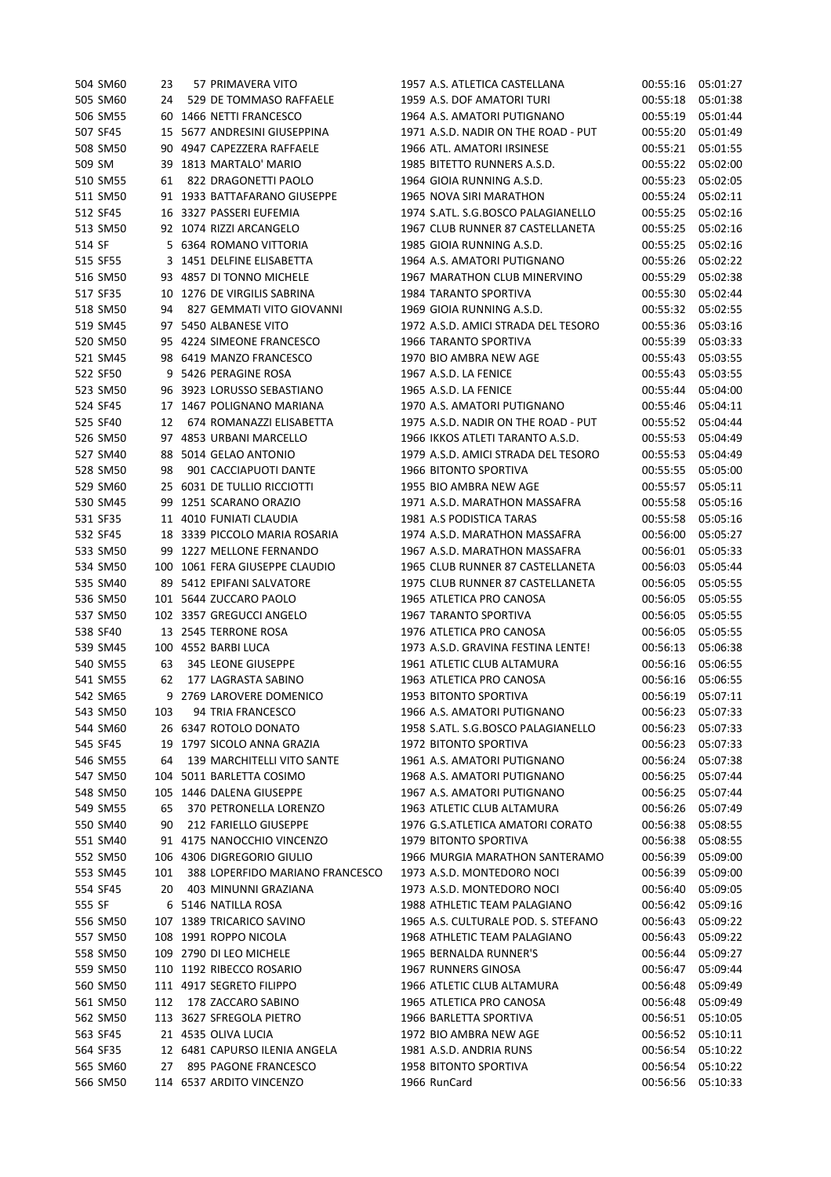| 504 SM60 | 23  | 57 PRIMAVERA VITO               | 1957 A.S. ATLETICA CASTELLANA       | 00:55:16 | 05:01:27 |
|----------|-----|---------------------------------|-------------------------------------|----------|----------|
| 505 SM60 | 24  | 529 DE TOMMASO RAFFAELE         | 1959 A.S. DOF AMATORI TURI          | 00:55:18 | 05:01:38 |
| 506 SM55 |     | 60 1466 NETTI FRANCESCO         | 1964 A.S. AMATORI PUTIGNANO         | 00:55:19 | 05:01:44 |
| 507 SF45 |     | 15 5677 ANDRESINI GIUSEPPINA    | 1971 A.S.D. NADIR ON THE ROAD - PUT | 00:55:20 | 05:01:49 |
| 508 SM50 |     | 90 4947 CAPEZZERA RAFFAELE      | 1966 ATL. AMATORI IRSINESE          | 00:55:21 | 05:01:55 |
| 509 SM   |     | 39 1813 MARTALO' MARIO          | 1985 BITETTO RUNNERS A.S.D.         | 00:55:22 | 05:02:00 |
| 510 SM55 | 61  | 822 DRAGONETTI PAOLO            | 1964 GIOIA RUNNING A.S.D.           | 00:55:23 | 05:02:05 |
| 511 SM50 |     | 91 1933 BATTAFARANO GIUSEPPE    | 1965 NOVA SIRI MARATHON             | 00:55:24 | 05:02:11 |
| 512 SF45 |     | 16 3327 PASSERI EUFEMIA         | 1974 S.ATL. S.G.BOSCO PALAGIANELLO  | 00:55:25 | 05:02:16 |
| 513 SM50 |     | 92 1074 RIZZI ARCANGELO         | 1967 CLUB RUNNER 87 CASTELLANETA    | 00:55:25 | 05:02:16 |
| 514 SF   |     | 5 6364 ROMANO VITTORIA          | 1985 GIOIA RUNNING A.S.D.           | 00:55:25 | 05:02:16 |
| 515 SF55 |     | 3 1451 DELFINE ELISABETTA       | 1964 A.S. AMATORI PUTIGNANO         | 00:55:26 | 05:02:22 |
| 516 SM50 |     | 93 4857 DI TONNO MICHELE        | 1967 MARATHON CLUB MINERVINO        | 00:55:29 | 05:02:38 |
| 517 SF35 | 10  | 1276 DE VIRGILIS SABRINA        | 1984 TARANTO SPORTIVA               | 00:55:30 | 05:02:44 |
| 518 SM50 | 94  | 827 GEMMATI VITO GIOVANNI       | 1969 GIOIA RUNNING A.S.D.           | 00:55:32 | 05:02:55 |
| 519 SM45 |     | 97 5450 ALBANESE VITO           | 1972 A.S.D. AMICI STRADA DEL TESORO | 00:55:36 | 05:03:16 |
| 520 SM50 |     | 95 4224 SIMEONE FRANCESCO       | 1966 TARANTO SPORTIVA               | 00:55:39 | 05:03:33 |
| 521 SM45 |     | 98 6419 MANZO FRANCESCO         | 1970 BIO AMBRA NEW AGE              | 00:55:43 | 05:03:55 |
| 522 SF50 |     | 9 5426 PERAGINE ROSA            | 1967 A.S.D. LA FENICE               | 00:55:43 | 05:03:55 |
| 523 SM50 |     | 96 3923 LORUSSO SEBASTIANO      | 1965 A.S.D. LA FENICE               | 00:55:44 | 05:04:00 |
| 524 SF45 |     | 17 1467 POLIGNANO MARIANA       | 1970 A.S. AMATORI PUTIGNANO         | 00:55:46 | 05:04:11 |
| 525 SF40 | 12  | 674 ROMANAZZI ELISABETTA        | 1975 A.S.D. NADIR ON THE ROAD - PUT | 00:55:52 | 05:04:44 |
| 526 SM50 |     | 97 4853 URBANI MARCELLO         | 1966 IKKOS ATLETI TARANTO A.S.D.    | 00:55:53 | 05:04:49 |
| 527 SM40 |     | 88 5014 GELAO ANTONIO           | 1979 A.S.D. AMICI STRADA DEL TESORO | 00:55:53 | 05:04:49 |
| 528 SM50 | 98  | 901 CACCIAPUOTI DANTE           | 1966 BITONTO SPORTIVA               | 00:55:55 | 05:05:00 |
| 529 SM60 |     | 25 6031 DE TULLIO RICCIOTTI     | 1955 BIO AMBRA NEW AGE              | 00:55:57 | 05:05:11 |
| 530 SM45 |     | 99 1251 SCARANO ORAZIO          | 1971 A.S.D. MARATHON MASSAFRA       | 00:55:58 | 05:05:16 |
| 531 SF35 |     | 11 4010 FUNIATI CLAUDIA         | 1981 A.S PODISTICA TARAS            | 00:55:58 | 05:05:16 |
| 532 SF45 |     | 18 3339 PICCOLO MARIA ROSARIA   | 1974 A.S.D. MARATHON MASSAFRA       | 00:56:00 | 05:05:27 |
| 533 SM50 |     | 99 1227 MELLONE FERNANDO        | 1967 A.S.D. MARATHON MASSAFRA       | 00:56:01 | 05:05:33 |
| 534 SM50 | 100 | 1061 FERA GIUSEPPE CLAUDIO      | 1965 CLUB RUNNER 87 CASTELLANETA    | 00:56:03 | 05:05:44 |
| 535 SM40 |     | 89 5412 EPIFANI SALVATORE       | 1975 CLUB RUNNER 87 CASTELLANETA    | 00:56:05 | 05:05:55 |
| 536 SM50 |     | 101 5644 ZUCCARO PAOLO          | 1965 ATLETICA PRO CANOSA            | 00:56:05 | 05:05:55 |
| 537 SM50 |     | 102 3357 GREGUCCI ANGELO        | 1967 TARANTO SPORTIVA               | 00:56:05 | 05:05:55 |
| 538 SF40 |     | 13 2545 TERRONE ROSA            | 1976 ATLETICA PRO CANOSA            | 00:56:05 | 05:05:55 |
| 539 SM45 |     | 100 4552 BARBI LUCA             | 1973 A.S.D. GRAVINA FESTINA LENTE!  | 00:56:13 | 05:06:38 |
| 540 SM55 | 63  | 345 LEONE GIUSEPPE              | 1961 ATLETIC CLUB ALTAMURA          | 00:56:16 | 05:06:55 |
| 541 SM55 | 62  | 177 LAGRASTA SABINO             | 1963 ATLETICA PRO CANOSA            | 00:56:16 | 05:06:55 |
| 542 SM65 |     | 9 2769 LAROVERE DOMENICO        | 1953 BITONTO SPORTIVA               | 00:56:19 | 05:07:11 |
| 543 SM50 | 103 | 94 TRIA FRANCESCO               | 1966 A.S. AMATORI PUTIGNANO         | 00:56:23 | 05:07:33 |
| 544 SM60 |     | 26 6347 ROTOLO DONATO           | 1958 S.ATL. S.G.BOSCO PALAGIANELLO  | 00:56:23 | 05:07:33 |
| 545 SF45 | 19  | 1797 SICOLO ANNA GRAZIA         | 1972 BITONTO SPORTIVA               | 00:56:23 | 05:07:33 |
| 546 SM55 | 64  | 139 MARCHITELLI VITO SANTE      | 1961 A.S. AMATORI PUTIGNANO         | 00:56:24 | 05:07:38 |
| 547 SM50 | 104 | 5011 BARLETTA COSIMO            | 1968 A.S. AMATORI PUTIGNANO         | 00:56:25 | 05:07:44 |
| 548 SM50 |     | 105 1446 DALENA GIUSEPPE        | 1967 A.S. AMATORI PUTIGNANO         | 00:56:25 | 05:07:44 |
| 549 SM55 | 65  | 370 PETRONELLA LORENZO          | 1963 ATLETIC CLUB ALTAMURA          | 00:56:26 | 05:07:49 |
| 550 SM40 | 90  | 212 FARIELLO GIUSEPPE           | 1976 G.S.ATLETICA AMATORI CORATO    | 00:56:38 | 05:08:55 |
| 551 SM40 |     | 91 4175 NANOCCHIO VINCENZO      | 1979 BITONTO SPORTIVA               | 00:56:38 | 05:08:55 |
| 552 SM50 |     | 106 4306 DIGREGORIO GIULIO      | 1966 MURGIA MARATHON SANTERAMO      | 00:56:39 | 05:09:00 |
| 553 SM45 | 101 | 388 LOPERFIDO MARIANO FRANCESCO | 1973 A.S.D. MONTEDORO NOCI          | 00:56:39 | 05:09:00 |
| 554 SF45 | 20  | 403 MINUNNI GRAZIANA            | 1973 A.S.D. MONTEDORO NOCI          | 00:56:40 | 05:09:05 |
| 555 SF   |     | 6 5146 NATILLA ROSA             | 1988 ATHLETIC TEAM PALAGIANO        | 00:56:42 | 05:09:16 |
| 556 SM50 |     | 107 1389 TRICARICO SAVINO       | 1965 A.S. CULTURALE POD. S. STEFANO | 00:56:43 | 05:09:22 |
| 557 SM50 |     | 108 1991 ROPPO NICOLA           | 1968 ATHLETIC TEAM PALAGIANO        | 00:56:43 | 05:09:22 |
| 558 SM50 |     | 109 2790 DI LEO MICHELE         | 1965 BERNALDA RUNNER'S              | 00:56:44 | 05:09:27 |
| 559 SM50 |     | 110 1192 RIBECCO ROSARIO        | 1967 RUNNERS GINOSA                 | 00:56:47 | 05:09:44 |
| 560 SM50 |     | 111 4917 SEGRETO FILIPPO        | 1966 ATLETIC CLUB ALTAMURA          | 00:56:48 | 05:09:49 |
| 561 SM50 | 112 | 178 ZACCARO SABINO              | 1965 ATLETICA PRO CANOSA            | 00:56:48 | 05:09:49 |
| 562 SM50 |     | 113 3627 SFREGOLA PIETRO        | 1966 BARLETTA SPORTIVA              | 00:56:51 | 05:10:05 |
| 563 SF45 |     | 21 4535 OLIVA LUCIA             | 1972 BIO AMBRA NEW AGE              | 00:56:52 | 05:10:11 |
| 564 SF35 |     | 12 6481 CAPURSO ILENIA ANGELA   | 1981 A.S.D. ANDRIA RUNS             | 00:56:54 | 05:10:22 |
| 565 SM60 | 27  | 895 PAGONE FRANCESCO            | <b>1958 BITONTO SPORTIVA</b>        | 00:56:54 | 05:10:22 |
| 566 SM50 |     | 114 6537 ARDITO VINCENZO        | 1966 RunCard                        | 00:56:56 | 05:10:33 |
|          |     |                                 |                                     |          |          |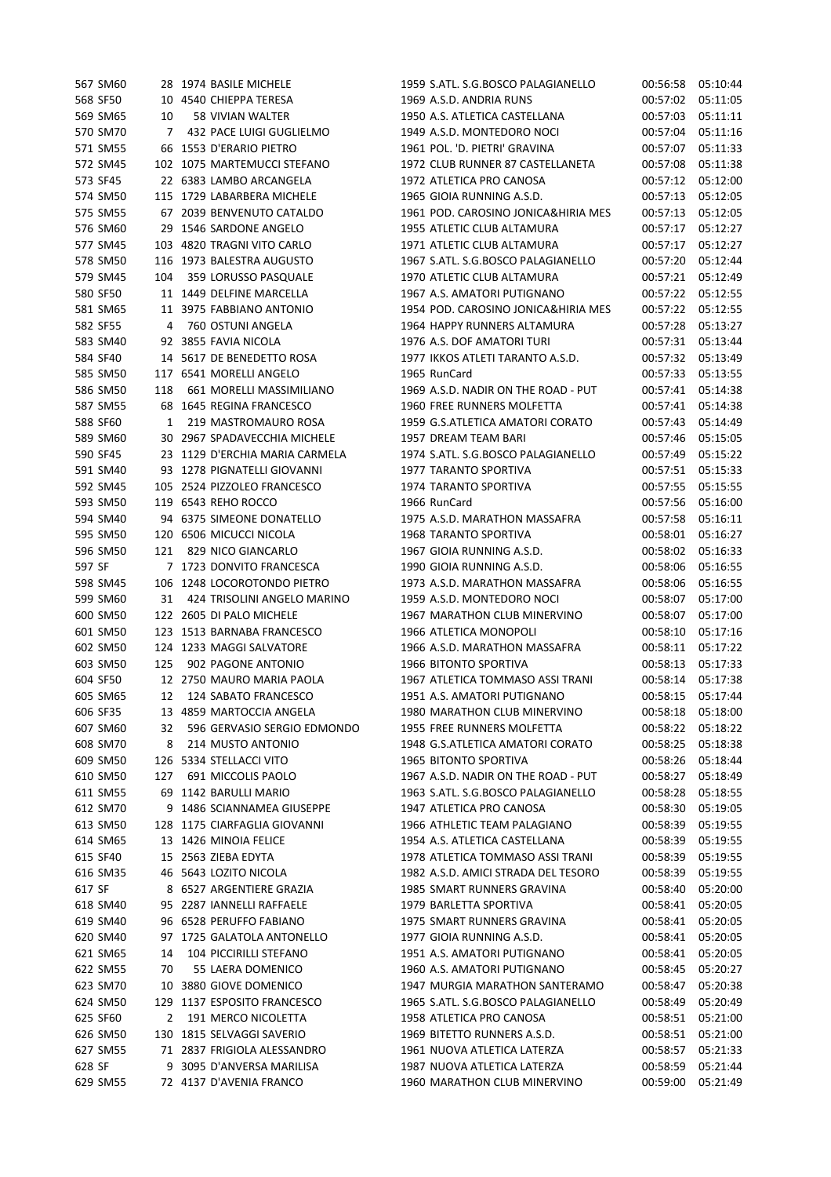|        | 567 SM60 |     | 28 1974 BASILE MICHELE         | 1959 S.ATL. S.G.BOSCO PALAGIANELLO  | 00:56:58 | 05:10:44 |
|--------|----------|-----|--------------------------------|-------------------------------------|----------|----------|
|        | 568 SF50 |     | 10 4540 CHIEPPA TERESA         | 1969 A.S.D. ANDRIA RUNS             | 00:57:02 | 05:11:05 |
|        | 569 SM65 | 10  | <b>58 VIVIAN WALTER</b>        | 1950 A.S. ATLETICA CASTELLANA       | 00:57:03 | 05:11:11 |
|        | 570 SM70 | 7   | 432 PACE LUIGI GUGLIELMO       | 1949 A.S.D. MONTEDORO NOCI          | 00:57:04 | 05:11:16 |
|        | 571 SM55 |     | 66 1553 D'ERARIO PIETRO        | 1961 POL. 'D. PIETRI' GRAVINA       | 00:57:07 | 05:11:33 |
|        | 572 SM45 |     | 102 1075 MARTEMUCCI STEFANO    | 1972 CLUB RUNNER 87 CASTELLANETA    | 00:57:08 | 05:11:38 |
|        | 573 SF45 |     | 22 6383 LAMBO ARCANGELA        | 1972 ATLETICA PRO CANOSA            | 00:57:12 | 05:12:00 |
|        | 574 SM50 |     | 115 1729 LABARBERA MICHELE     | 1965 GIOIA RUNNING A.S.D.           | 00:57:13 | 05:12:05 |
|        | 575 SM55 |     | 67 2039 BENVENUTO CATALDO      | 1961 POD. CAROSINO JONICA&HIRIA MES | 00:57:13 | 05:12:05 |
|        | 576 SM60 |     | 29 1546 SARDONE ANGELO         | 1955 ATLETIC CLUB ALTAMURA          | 00:57:17 | 05:12:27 |
|        | 577 SM45 |     | 103 4820 TRAGNI VITO CARLO     | 1971 ATLETIC CLUB ALTAMURA          | 00:57:17 | 05:12:27 |
|        | 578 SM50 |     | 116 1973 BALESTRA AUGUSTO      | 1967 S.ATL. S.G.BOSCO PALAGIANELLO  | 00:57:20 | 05:12:44 |
|        | 579 SM45 | 104 | 359 LORUSSO PASQUALE           | 1970 ATLETIC CLUB ALTAMURA          | 00:57:21 | 05:12:49 |
|        | 580 SF50 |     | 11 1449 DELFINE MARCELLA       | 1967 A.S. AMATORI PUTIGNANO         | 00:57:22 | 05:12:55 |
|        | 581 SM65 |     | 11 3975 FABBIANO ANTONIO       | 1954 POD. CAROSINO JONICA&HIRIA MES | 00:57:22 | 05:12:55 |
|        | 582 SF55 | 4   | 760 OSTUNI ANGELA              | 1964 HAPPY RUNNERS ALTAMURA         | 00:57:28 | 05:13:27 |
|        |          |     |                                |                                     |          |          |
|        | 583 SM40 |     | 92 3855 FAVIA NICOLA           | 1976 A.S. DOF AMATORI TURI          | 00:57:31 | 05:13:44 |
|        | 584 SF40 |     | 14 5617 DE BENEDETTO ROSA      | 1977 IKKOS ATLETI TARANTO A.S.D.    | 00:57:32 | 05:13:49 |
|        | 585 SM50 |     | 117 6541 MORELLI ANGELO        | 1965 RunCard                        | 00:57:33 | 05:13:55 |
|        | 586 SM50 | 118 | 661 MORELLI MASSIMILIANO       | 1969 A.S.D. NADIR ON THE ROAD - PUT | 00:57:41 | 05:14:38 |
|        | 587 SM55 |     | 68 1645 REGINA FRANCESCO       | 1960 FREE RUNNERS MOLFETTA          | 00:57:41 | 05:14:38 |
|        | 588 SF60 | 1   | 219 MASTROMAURO ROSA           | 1959 G.S.ATLETICA AMATORI CORATO    | 00:57:43 | 05:14:49 |
|        | 589 SM60 |     | 30 2967 SPADAVECCHIA MICHELE   | 1957 DREAM TEAM BARI                | 00:57:46 | 05:15:05 |
|        | 590 SF45 |     | 23 1129 D'ERCHIA MARIA CARMELA | 1974 S.ATL. S.G.BOSCO PALAGIANELLO  | 00:57:49 | 05:15:22 |
|        | 591 SM40 |     | 93 1278 PIGNATELLI GIOVANNI    | <b>1977 TARANTO SPORTIVA</b>        | 00:57:51 | 05:15:33 |
|        | 592 SM45 |     | 105 2524 PIZZOLEO FRANCESCO    | 1974 TARANTO SPORTIVA               | 00:57:55 | 05:15:55 |
|        | 593 SM50 |     | 119 6543 REHO ROCCO            | 1966 RunCard                        | 00:57:56 | 05:16:00 |
|        | 594 SM40 |     | 94 6375 SIMEONE DONATELLO      | 1975 A.S.D. MARATHON MASSAFRA       | 00:57:58 | 05:16:11 |
|        | 595 SM50 |     | 120 6506 MICUCCI NICOLA        | 1968 TARANTO SPORTIVA               | 00:58:01 | 05:16:27 |
|        | 596 SM50 | 121 | 829 NICO GIANCARLO             | 1967 GIOIA RUNNING A.S.D.           | 00:58:02 | 05:16:33 |
| 597 SF |          |     | 7 1723 DONVITO FRANCESCA       | 1990 GIOIA RUNNING A.S.D.           | 00:58:06 | 05:16:55 |
|        | 598 SM45 |     | 106 1248 LOCOROTONDO PIETRO    | 1973 A.S.D. MARATHON MASSAFRA       | 00:58:06 | 05:16:55 |
|        | 599 SM60 | 31  | 424 TRISOLINI ANGELO MARINO    | 1959 A.S.D. MONTEDORO NOCI          | 00:58:07 | 05:17:00 |
|        | 600 SM50 |     | 122 2605 DI PALO MICHELE       | 1967 MARATHON CLUB MINERVINO        | 00:58:07 | 05:17:00 |
|        | 601 SM50 |     | 123 1513 BARNABA FRANCESCO     | 1966 ATLETICA MONOPOLI              | 00:58:10 | 05:17:16 |
|        | 602 SM50 |     | 124 1233 MAGGI SALVATORE       | 1966 A.S.D. MARATHON MASSAFRA       | 00:58:11 | 05:17:22 |
|        | 603 SM50 | 125 | 902 PAGONE ANTONIO             | 1966 BITONTO SPORTIVA               | 00:58:13 | 05:17:33 |
|        | 604 SF50 |     | 12 2750 MAURO MARIA PAOLA      | 1967 ATLETICA TOMMASO ASSI TRANI    | 00:58:14 | 05:17:38 |
|        | 605 SM65 | 12  | 124 SABATO FRANCESCO           | 1951 A.S. AMATORI PUTIGNANO         | 00:58:15 | 05:17:44 |
|        | 606 SF35 |     | 13 4859 MARTOCCIA ANGELA       | 1980 MARATHON CLUB MINERVINO        | 00:58:18 | 05:18:00 |
|        | 607 SM60 | 32  | 596 GERVASIO SERGIO EDMONDO    | 1955 FREE RUNNERS MOLFETTA          | 00:58:22 | 05:18:22 |
|        | 608 SM70 | 8   | 214 MUSTO ANTONIO              | 1948 G.S.ATLETICA AMATORI CORATO    | 00:58:25 | 05:18:38 |
|        | 609 SM50 |     | 126 5334 STELLACCI VITO        | <b>1965 BITONTO SPORTIVA</b>        | 00:58:26 | 05:18:44 |
|        | 610 SM50 | 127 | 691 MICCOLIS PAOLO             | 1967 A.S.D. NADIR ON THE ROAD - PUT | 00:58:27 | 05:18:49 |
|        | 611 SM55 |     | 69 1142 BARULLI MARIO          | 1963 S.ATL. S.G.BOSCO PALAGIANELLO  | 00:58:28 | 05:18:55 |
|        | 612 SM70 |     | 9 1486 SCIANNAMEA GIUSEPPE     | 1947 ATLETICA PRO CANOSA            | 00:58:30 | 05:19:05 |
|        | 613 SM50 |     | 128 1175 CIARFAGLIA GIOVANNI   | 1966 ATHLETIC TEAM PALAGIANO        | 00:58:39 | 05:19:55 |
|        | 614 SM65 |     | 13 1426 MINOIA FELICE          | 1954 A.S. ATLETICA CASTELLANA       | 00:58:39 | 05:19:55 |
|        | 615 SF40 |     | 15 2563 ZIEBA EDYTA            | 1978 ATLETICA TOMMASO ASSI TRANI    | 00:58:39 | 05:19:55 |
|        |          |     |                                | 1982 A.S.D. AMICI STRADA DEL TESORO |          |          |
|        | 616 SM35 |     | 46 5643 LOZITO NICOLA          |                                     | 00:58:39 | 05:19:55 |
| 617 SF |          |     | 8 6527 ARGENTIERE GRAZIA       | 1985 SMART RUNNERS GRAVINA          | 00:58:40 | 05:20:00 |
|        | 618 SM40 |     | 95 2287 IANNELLI RAFFAELE      | 1979 BARLETTA SPORTIVA              | 00:58:41 | 05:20:05 |
|        | 619 SM40 |     | 96 6528 PERUFFO FABIANO        | 1975 SMART RUNNERS GRAVINA          | 00:58:41 | 05:20:05 |
|        | 620 SM40 |     | 97 1725 GALATOLA ANTONELLO     | 1977 GIOIA RUNNING A.S.D.           | 00:58:41 | 05:20:05 |
|        | 621 SM65 | 14  | 104 PICCIRILLI STEFANO         | 1951 A.S. AMATORI PUTIGNANO         | 00:58:41 | 05:20:05 |
|        | 622 SM55 | 70  | 55 LAERA DOMENICO              | 1960 A.S. AMATORI PUTIGNANO         | 00:58:45 | 05:20:27 |
|        | 623 SM70 |     | 10 3880 GIOVE DOMENICO         | 1947 MURGIA MARATHON SANTERAMO      | 00:58:47 | 05:20:38 |
|        | 624 SM50 |     | 129 1137 ESPOSITO FRANCESCO    | 1965 S.ATL. S.G.BOSCO PALAGIANELLO  | 00:58:49 | 05:20:49 |
|        | 625 SF60 | 2   | 191 MERCO NICOLETTA            | 1958 ATLETICA PRO CANOSA            | 00:58:51 | 05:21:00 |
|        | 626 SM50 |     | 130 1815 SELVAGGI SAVERIO      | 1969 BITETTO RUNNERS A.S.D.         | 00:58:51 | 05:21:00 |
|        | 627 SM55 |     | 71 2837 FRIGIOLA ALESSANDRO    | 1961 NUOVA ATLETICA LATERZA         | 00:58:57 | 05:21:33 |
| 628 SF |          |     | 9 3095 D'ANVERSA MARILISA      | 1987 NUOVA ATLETICA LATERZA         | 00:58:59 | 05:21:44 |
|        | 629 SM55 |     | 72 4137 D'AVENIA FRANCO        | 1960 MARATHON CLUB MINERVINO        | 00:59:00 | 05:21:49 |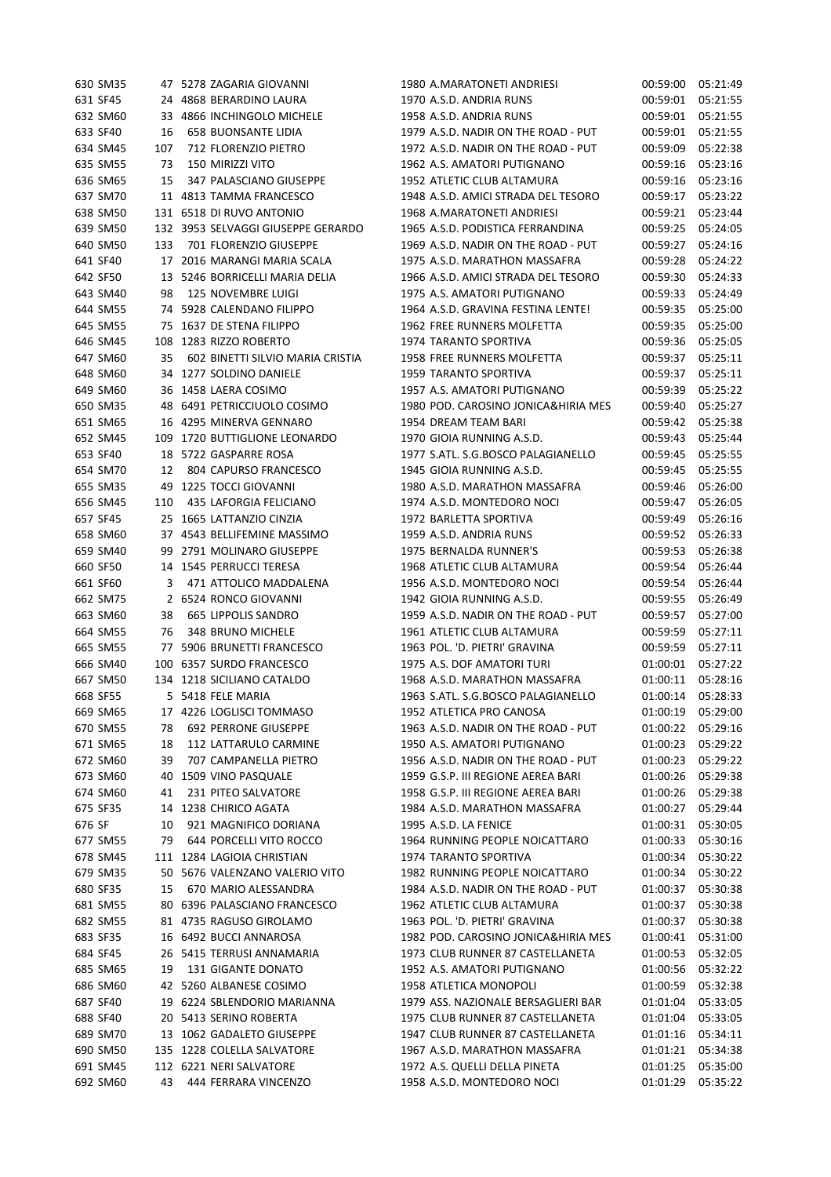| 630 SM35 |     | 47 5278 ZAGARIA GIOVANNI           | 1980 A.MARATONETI ANDRIESI          | 00:59:00             | 05:21:49 |
|----------|-----|------------------------------------|-------------------------------------|----------------------|----------|
| 631 SF45 |     | 24 4868 BERARDINO LAURA            | 1970 A.S.D. ANDRIA RUNS             | 00:59:01             | 05:21:55 |
| 632 SM60 |     | 33 4866 INCHINGOLO MICHELE         | 1958 A.S.D. ANDRIA RUNS             | 00:59:01             | 05:21:55 |
| 633 SF40 | 16  | <b>658 BUONSANTE LIDIA</b>         | 1979 A.S.D. NADIR ON THE ROAD - PUT | 00:59:01             | 05:21:55 |
| 634 SM45 | 107 | 712 FLORENZIO PIETRO               | 1972 A.S.D. NADIR ON THE ROAD - PUT | 00:59:09             | 05:22:38 |
| 635 SM55 | 73  | 150 MIRIZZI VITO                   | 1962 A.S. AMATORI PUTIGNANO         | 00:59:16             | 05:23:16 |
| 636 SM65 | 15  | 347 PALASCIANO GIUSEPPE            | 1952 ATLETIC CLUB ALTAMURA          | 00:59:16             | 05:23:16 |
| 637 SM70 |     | 11 4813 TAMMA FRANCESCO            | 1948 A.S.D. AMICI STRADA DEL TESORO | 00:59:17             | 05:23:22 |
| 638 SM50 |     | 131 6518 DI RUVO ANTONIO           | 1968 A.MARATONETI ANDRIESI          | 00:59:21             | 05:23:44 |
| 639 SM50 |     | 132 3953 SELVAGGI GIUSEPPE GERARDO | 1965 A.S.D. PODISTICA FERRANDINA    | 00:59:25             | 05:24:05 |
| 640 SM50 | 133 | 701 FLORENZIO GIUSEPPE             | 1969 A.S.D. NADIR ON THE ROAD - PUT | 00:59:27             | 05:24:16 |
| 641 SF40 |     | 17 2016 MARANGI MARIA SCALA        | 1975 A.S.D. MARATHON MASSAFRA       | 00:59:28             | 05:24:22 |
| 642 SF50 |     | 13 5246 BORRICELLI MARIA DELIA     | 1966 A.S.D. AMICI STRADA DEL TESORO | 00:59:30             | 05:24:33 |
| 643 SM40 | 98  | <b>125 NOVEMBRE LUIGI</b>          | 1975 A.S. AMATORI PUTIGNANO         | 00:59:33             | 05:24:49 |
| 644 SM55 |     | 74 5928 CALENDANO FILIPPO          | 1964 A.S.D. GRAVINA FESTINA LENTE!  | 00:59:35             | 05:25:00 |
| 645 SM55 |     | 75 1637 DE STENA FILIPPO           | 1962 FREE RUNNERS MOLFETTA          | 00:59:35             | 05:25:00 |
| 646 SM45 |     | 108 1283 RIZZO ROBERTO             | 1974 TARANTO SPORTIVA               | 00:59:36             | 05:25:05 |
| 647 SM60 | 35  | 602 BINETTI SILVIO MARIA CRISTIA   | 1958 FREE RUNNERS MOLFETTA          | 00:59:37             | 05:25:11 |
| 648 SM60 |     | 34 1277 SOLDINO DANIELE            | 1959 TARANTO SPORTIVA               | 00:59:37             | 05:25:11 |
| 649 SM60 |     | 36 1458 LAERA COSIMO               | 1957 A.S. AMATORI PUTIGNANO         | 00:59:39             | 05:25:22 |
| 650 SM35 |     | 48 6491 PETRICCIUOLO COSIMO        | 1980 POD. CAROSINO JONICA&HIRIA MES | 00:59:40             | 05:25:27 |
| 651 SM65 |     | 16 4295 MINERVA GENNARO            | 1954 DREAM TEAM BARI                | 00:59:42             | 05:25:38 |
| 652 SM45 |     | 109 1720 BUTTIGLIONE LEONARDO      | 1970 GIOIA RUNNING A.S.D.           | 00:59:43             | 05:25:44 |
| 653 SF40 |     | 18 5722 GASPARRE ROSA              | 1977 S.ATL. S.G.BOSCO PALAGIANELLO  | 00:59:45             | 05:25:55 |
| 654 SM70 | 12  | 804 CAPURSO FRANCESCO              | 1945 GIOIA RUNNING A.S.D.           | 00:59:45             | 05:25:55 |
| 655 SM35 |     | 49 1225 TOCCI GIOVANNI             | 1980 A.S.D. MARATHON MASSAFRA       | 00:59:46             | 05:26:00 |
| 656 SM45 | 110 | 435 LAFORGIA FELICIANO             | 1974 A.S.D. MONTEDORO NOCI          | 00:59:47             | 05:26:05 |
| 657 SF45 |     | 25 1665 LATTANZIO CINZIA           | 1972 BARLETTA SPORTIVA              | 00:59:49             | 05:26:16 |
| 658 SM60 |     | 37 4543 BELLIFEMINE MASSIMO        | 1959 A.S.D. ANDRIA RUNS             | 00:59:52             | 05:26:33 |
| 659 SM40 |     | 99 2791 MOLINARO GIUSEPPE          | 1975 BERNALDA RUNNER'S              | 00:59:53             | 05:26:38 |
| 660 SF50 |     | 14 1545 PERRUCCI TERESA            | 1968 ATLETIC CLUB ALTAMURA          | 00:59:54             | 05:26:44 |
| 661 SF60 | 3   | 471 ATTOLICO MADDALENA             | 1956 A.S.D. MONTEDORO NOCI          | 00:59:54             | 05:26:44 |
| 662 SM75 |     | 2 6524 RONCO GIOVANNI              | 1942 GIOIA RUNNING A.S.D.           | 00:59:55             | 05:26:49 |
| 663 SM60 | 38  | <b>665 LIPPOLIS SANDRO</b>         | 1959 A.S.D. NADIR ON THE ROAD - PUT | 00:59:57             | 05:27:00 |
| 664 SM55 | 76  | 348 BRUNO MICHELE                  | 1961 ATLETIC CLUB ALTAMURA          | 00:59:59             | 05:27:11 |
| 665 SM55 |     | 77 5906 BRUNETTI FRANCESCO         | 1963 POL. 'D. PIETRI' GRAVINA       | 00:59:59             | 05:27:11 |
| 666 SM40 |     | 100 6357 SURDO FRANCESCO           | 1975 A.S. DOF AMATORI TURI          | 01:00:01             | 05:27:22 |
| 667 SM50 |     | 134 1218 SICILIANO CATALDO         | 1968 A.S.D. MARATHON MASSAFRA       | 01:00:11             | 05:28:16 |
| 668 SF55 |     | 5 5418 FELE MARIA                  | 1963 S.ATL. S.G.BOSCO PALAGIANELLO  | 01:00:14             | 05:28:33 |
| 669 SM65 |     | 17 4226 LOGLISCI TOMMASO           | 1952 ATLETICA PRO CANOSA            | 01:00:19             | 05:29:00 |
| 670 SM55 | 78  | <b>692 PERRONE GIUSEPPE</b>        | 1963 A.S.D. NADIR ON THE ROAD - PUT | 01:00:22             | 05:29:16 |
| 671 SM65 | 18  | 112 LATTARULO CARMINE              | 1950 A.S. AMATORI PUTIGNANO         | 01:00:23             | 05:29:22 |
| 672 SM60 | 39  | 707 CAMPANELLA PIETRO              | 1956 A.S.D. NADIR ON THE ROAD - PUT | 01:00:23             | 05:29:22 |
| 673 SM60 |     | 40 1509 VINO PASQUALE              | 1959 G.S.P. III REGIONE AEREA BARI  | 01:00:26             | 05:29:38 |
| 674 SM60 | 41  | 231 PITEO SALVATORE                | 1958 G.S.P. III REGIONE AEREA BARI  | 01:00:26             | 05:29:38 |
| 675 SF35 |     | 14 1238 CHIRICO AGATA              | 1984 A.S.D. MARATHON MASSAFRA       | 01:00:27             | 05:29:44 |
| 676 SF   | 10  | 921 MAGNIFICO DORIANA              | 1995 A.S.D. LA FENICE               | 01:00:31             | 05:30:05 |
| 677 SM55 | 79  | 644 PORCELLI VITO ROCCO            | 1964 RUNNING PEOPLE NOICATTARO      | 01:00:33             | 05:30:16 |
| 678 SM45 |     | 111 1284 LAGIOIA CHRISTIAN         | 1974 TARANTO SPORTIVA               | 01:00:34             | 05:30:22 |
| 679 SM35 |     | 50 5676 VALENZANO VALERIO VITO     | 1982 RUNNING PEOPLE NOICATTARO      | 01:00:34             | 05:30:22 |
| 680 SF35 | 15  | 670 MARIO ALESSANDRA               | 1984 A.S.D. NADIR ON THE ROAD - PUT | 01:00:37             | 05:30:38 |
| 681 SM55 |     | 80 6396 PALASCIANO FRANCESCO       | 1962 ATLETIC CLUB ALTAMURA          | 01:00:37             | 05:30:38 |
| 682 SM55 |     | 81 4735 RAGUSO GIROLAMO            | 1963 POL. 'D. PIETRI' GRAVINA       | 01:00:37             | 05:30:38 |
| 683 SF35 |     | 16 6492 BUCCI ANNAROSA             | 1982 POD. CAROSINO JONICA&HIRIA MES | 01:00:41             | 05:31:00 |
| 684 SF45 |     | 26 5415 TERRUSI ANNAMARIA          | 1973 CLUB RUNNER 87 CASTELLANETA    | 01:00:53             | 05:32:05 |
| 685 SM65 | 19  | 131 GIGANTE DONATO                 | 1952 A.S. AMATORI PUTIGNANO         | 01:00:56             | 05:32:22 |
| 686 SM60 |     | 42 5260 ALBANESE COSIMO            | 1958 ATLETICA MONOPOLI              | 01:00:59             | 05:32:38 |
| 687 SF40 |     | 19 6224 SBLENDORIO MARIANNA        | 1979 ASS. NAZIONALE BERSAGLIERI BAR |                      | 05:33:05 |
| 688 SF40 |     | 20 5413 SERINO ROBERTA             | 1975 CLUB RUNNER 87 CASTELLANETA    | 01:01:04<br>01:01:04 | 05:33:05 |
| 689 SM70 |     | 13 1062 GADALETO GIUSEPPE          | 1947 CLUB RUNNER 87 CASTELLANETA    | 01:01:16             | 05:34:11 |
| 690 SM50 |     | 135 1228 COLELLA SALVATORE         | 1967 A.S.D. MARATHON MASSAFRA       | 01:01:21             | 05:34:38 |
| 691 SM45 |     | 112 6221 NERI SALVATORE            | 1972 A.S. QUELLI DELLA PINETA       | 01:01:25             | 05:35:00 |
| 692 SM60 | 43  | 444 FERRARA VINCENZO               | 1958 A.S.D. MONTEDORO NOCI          | 01:01:29             | 05:35:22 |
|          |     |                                    |                                     |                      |          |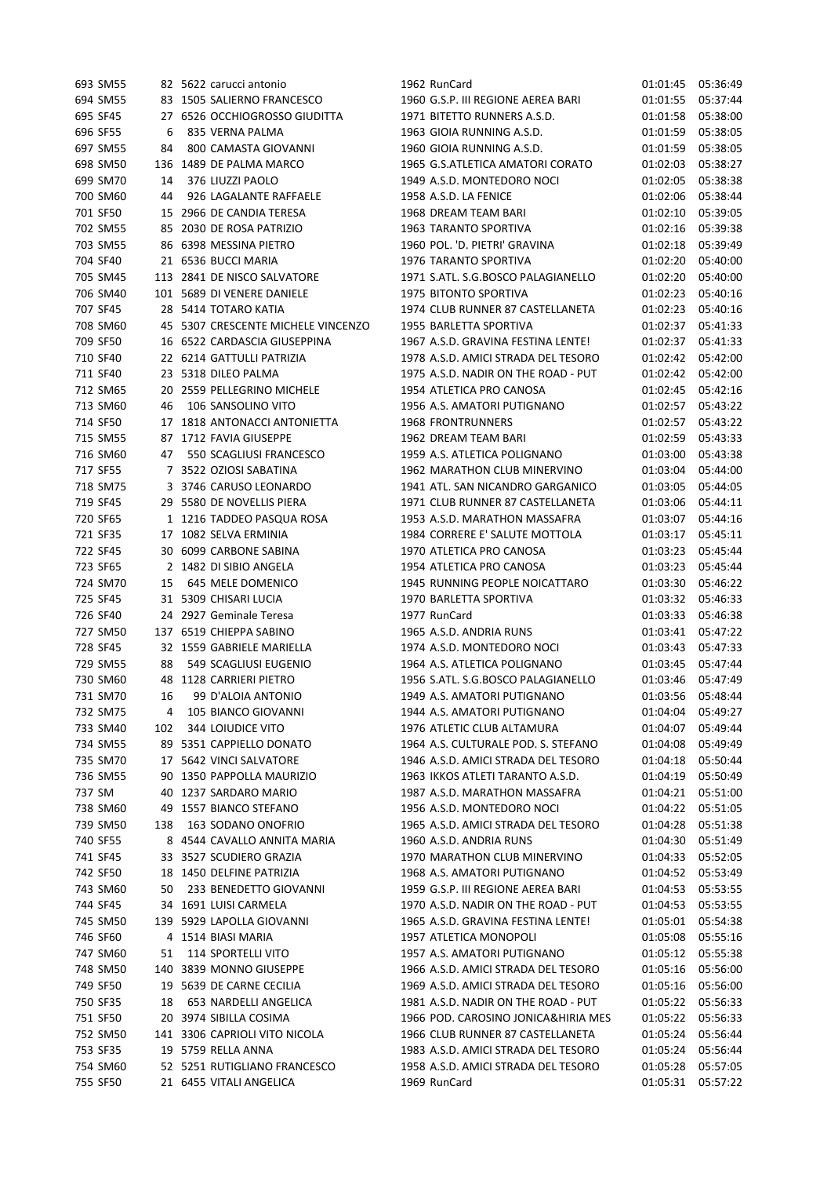| 693 SM55 |     | 82 5622 carucci antonio            | 1962 RunCard                                            | 01:01:45 | 05:36:49 |
|----------|-----|------------------------------------|---------------------------------------------------------|----------|----------|
| 694 SM55 |     | 83 1505 SALIERNO FRANCESCO         | 1960 G.S.P. III REGIONE AEREA BARI                      | 01:01:55 | 05:37:44 |
| 695 SF45 |     | 27 6526 OCCHIOGROSSO GIUDITTA      | 1971 BITETTO RUNNERS A.S.D.                             | 01:01:58 | 05:38:00 |
| 696 SF55 | 6   | 835 VERNA PALMA                    | 1963 GIOIA RUNNING A.S.D.                               | 01:01:59 | 05:38:05 |
| 697 SM55 | 84  | 800 CAMASTA GIOVANNI               | 1960 GIOIA RUNNING A.S.D.                               | 01:01:59 | 05:38:05 |
| 698 SM50 | 136 | 1489 DE PALMA MARCO                | 1965 G.S.ATLETICA AMATORI CORATO                        | 01:02:03 | 05:38:27 |
| 699 SM70 | 14  | 376 LIUZZI PAOLO                   | 1949 A.S.D. MONTEDORO NOCI                              | 01:02:05 | 05:38:38 |
| 700 SM60 | 44  | 926 LAGALANTE RAFFAELE             | 1958 A.S.D. LA FENICE                                   | 01:02:06 | 05:38:44 |
| 701 SF50 |     | 15 2966 DE CANDIA TERESA           | 1968 DREAM TEAM BARI                                    | 01:02:10 | 05:39:05 |
| 702 SM55 |     | 85 2030 DE ROSA PATRIZIO           | <b>1963 TARANTO SPORTIVA</b>                            | 01:02:16 | 05:39:38 |
| 703 SM55 |     | 86 6398 MESSINA PIETRO             | 1960 POL. 'D. PIETRI' GRAVINA                           | 01:02:18 | 05:39:49 |
| 704 SF40 |     | 21 6536 BUCCI MARIA                | 1976 TARANTO SPORTIVA                                   | 01:02:20 | 05:40:00 |
| 705 SM45 |     | 113 2841 DE NISCO SALVATORE        | 1971 S.ATL. S.G.BOSCO PALAGIANELLO                      | 01:02:20 | 05:40:00 |
| 706 SM40 |     | 101 5689 DI VENERE DANIELE         | 1975 BITONTO SPORTIVA                                   | 01:02:23 | 05:40:16 |
| 707 SF45 |     | 28 5414 TOTARO KATIA               | 1974 CLUB RUNNER 87 CASTELLANETA                        | 01:02:23 | 05:40:16 |
| 708 SM60 |     | 45 5307 CRESCENTE MICHELE VINCENZO | 1955 BARLETTA SPORTIVA                                  | 01:02:37 | 05:41:33 |
| 709 SF50 |     | 16 6522 CARDASCIA GIUSEPPINA       | 1967 A.S.D. GRAVINA FESTINA LENTE!                      | 01:02:37 | 05:41:33 |
| 710 SF40 |     | 22 6214 GATTULLI PATRIZIA          | 1978 A.S.D. AMICI STRADA DEL TESORO                     | 01:02:42 | 05:42:00 |
| 711 SF40 |     | 23 5318 DILEO PALMA                | 1975 A.S.D. NADIR ON THE ROAD - PUT                     | 01:02:42 | 05:42:00 |
| 712 SM65 |     | 20 2559 PELLEGRINO MICHELE         |                                                         |          |          |
|          |     |                                    | 1954 ATLETICA PRO CANOSA                                | 01:02:45 | 05:42:16 |
| 713 SM60 | 46  | 106 SANSOLINO VITO                 | 1956 A.S. AMATORI PUTIGNANO<br><b>1968 FRONTRUNNERS</b> | 01:02:57 | 05:43:22 |
| 714 SF50 |     | 17 1818 ANTONACCI ANTONIETTA       |                                                         | 01:02:57 | 05:43:22 |
| 715 SM55 |     | 87 1712 FAVIA GIUSEPPE             | 1962 DREAM TEAM BARI                                    | 01:02:59 | 05:43:33 |
| 716 SM60 | 47  | 550 SCAGLIUSI FRANCESCO            | 1959 A.S. ATLETICA POLIGNANO                            | 01:03:00 | 05:43:38 |
| 717 SF55 |     | 7 3522 OZIOSI SABATINA             | 1962 MARATHON CLUB MINERVINO                            | 01:03:04 | 05:44:00 |
| 718 SM75 |     | 3 3746 CARUSO LEONARDO             | 1941 ATL. SAN NICANDRO GARGANICO                        | 01:03:05 | 05:44:05 |
| 719 SF45 |     | 29 5580 DE NOVELLIS PIERA          | 1971 CLUB RUNNER 87 CASTELLANETA                        | 01:03:06 | 05:44:11 |
| 720 SF65 |     | 1 1216 TADDEO PASQUA ROSA          | 1953 A.S.D. MARATHON MASSAFRA                           | 01:03:07 | 05:44:16 |
| 721 SF35 |     | 17 1082 SELVA ERMINIA              | 1984 CORRERE E' SALUTE MOTTOLA                          | 01:03:17 | 05:45:11 |
| 722 SF45 |     | 30 6099 CARBONE SABINA             | 1970 ATLETICA PRO CANOSA                                | 01:03:23 | 05:45:44 |
| 723 SF65 |     | 2 1482 DI SIBIO ANGELA             | 1954 ATLETICA PRO CANOSA                                | 01:03:23 | 05:45:44 |
| 724 SM70 | 15  | 645 MELE DOMENICO                  | 1945 RUNNING PEOPLE NOICATTARO                          | 01:03:30 | 05:46:22 |
| 725 SF45 |     | 31 5309 CHISARI LUCIA              | 1970 BARLETTA SPORTIVA                                  | 01:03:32 | 05:46:33 |
| 726 SF40 |     | 24 2927 Geminale Teresa            | 1977 RunCard                                            | 01:03:33 | 05:46:38 |
| 727 SM50 |     | 137 6519 CHIEPPA SABINO            | 1965 A.S.D. ANDRIA RUNS                                 | 01:03:41 | 05:47:22 |
| 728 SF45 |     | 32 1559 GABRIELE MARIELLA          | 1974 A.S.D. MONTEDORO NOCI                              | 01:03:43 | 05:47:33 |
| 729 SM55 | 88  | 549 SCAGLIUSI EUGENIO              | 1964 A.S. ATLETICA POLIGNANO                            | 01:03:45 | 05:47:44 |
| 730 SM60 |     | 48 1128 CARRIERI PIETRO            | 1956 S.ATL. S.G.BOSCO PALAGIANELLO                      | 01:03:46 | 05:47:49 |
| 731 SM70 | 16  | 99 D'ALOIA ANTONIO                 | 1949 A.S. AMATORI PUTIGNANO                             | 01:03:56 | 05:48:44 |
| 732 SM75 | 4   | 105 BIANCO GIOVANNI                | 1944 A.S. AMATORI PUTIGNANO                             | 01:04:04 | 05:49:27 |
| 733 SM40 | 102 | 344 LOIUDICE VITO                  | 1976 ATLETIC CLUB ALTAMURA                              | 01:04:07 | 05:49:44 |
| 734 SM55 |     | 89 5351 CAPPIELLO DONATO           | 1964 A.S. CULTURALE POD. S. STEFANO                     | 01:04:08 | 05:49:49 |
| 735 SM70 |     | 17 5642 VINCI SALVATORE            | 1946 A.S.D. AMICI STRADA DEL TESORO                     | 01:04:18 | 05:50:44 |
| 736 SM55 |     | 90 1350 PAPPOLLA MAURIZIO          | 1963 IKKOS ATLETI TARANTO A.S.D.                        | 01:04:19 | 05:50:49 |
| 737 SM   | 40  | 1237 SARDARO MARIO                 | 1987 A.S.D. MARATHON MASSAFRA                           | 01:04:21 | 05:51:00 |
| 738 SM60 |     | 49 1557 BIANCO STEFANO             | 1956 A.S.D. MONTEDORO NOCI                              | 01:04:22 | 05:51:05 |
| 739 SM50 | 138 | 163 SODANO ONOFRIO                 | 1965 A.S.D. AMICI STRADA DEL TESORO                     | 01:04:28 | 05:51:38 |
| 740 SF55 |     | 8 4544 CAVALLO ANNITA MARIA        | 1960 A.S.D. ANDRIA RUNS                                 | 01:04:30 | 05:51:49 |
| 741 SF45 |     | 33 3527 SCUDIERO GRAZIA            | 1970 MARATHON CLUB MINERVINO                            | 01:04:33 | 05:52:05 |
| 742 SF50 |     | 18 1450 DELFINE PATRIZIA           | 1968 A.S. AMATORI PUTIGNANO                             | 01:04:52 | 05:53:49 |
| 743 SM60 | 50  | 233 BENEDETTO GIOVANNI             | 1959 G.S.P. III REGIONE AEREA BARI                      | 01:04:53 | 05:53:55 |
| 744 SF45 |     | 34 1691 LUISI CARMELA              | 1970 A.S.D. NADIR ON THE ROAD - PUT                     | 01:04:53 | 05:53:55 |
| 745 SM50 |     | 139 5929 LAPOLLA GIOVANNI          | 1965 A.S.D. GRAVINA FESTINA LENTE!                      | 01:05:01 | 05:54:38 |
| 746 SF60 |     | 4 1514 BIASI MARIA                 | 1957 ATLETICA MONOPOLI                                  | 01:05:08 | 05:55:16 |
| 747 SM60 | 51  | 114 SPORTELLI VITO                 | 1957 A.S. AMATORI PUTIGNANO                             | 01:05:12 | 05:55:38 |
| 748 SM50 |     | 140 3839 MONNO GIUSEPPE            | 1966 A.S.D. AMICI STRADA DEL TESORO                     | 01:05:16 | 05:56:00 |
| 749 SF50 |     | 19 5639 DE CARNE CECILIA           | 1969 A.S.D. AMICI STRADA DEL TESORO                     | 01:05:16 | 05:56:00 |
| 750 SF35 | 18  | 653 NARDELLI ANGELICA              | 1981 A.S.D. NADIR ON THE ROAD - PUT                     | 01:05:22 | 05:56:33 |
| 751 SF50 |     | 20 3974 SIBILLA COSIMA             | 1966 POD. CAROSINO JONICA&HIRIA MES                     | 01:05:22 | 05:56:33 |
| 752 SM50 |     | 141 3306 CAPRIOLI VITO NICOLA      | 1966 CLUB RUNNER 87 CASTELLANETA                        | 01:05:24 | 05:56:44 |
| 753 SF35 |     | 19 5759 RELLA ANNA                 | 1983 A.S.D. AMICI STRADA DEL TESORO                     | 01:05:24 | 05:56:44 |
| 754 SM60 |     | 52 5251 RUTIGLIANO FRANCESCO       | 1958 A.S.D. AMICI STRADA DEL TESORO                     | 01:05:28 | 05:57:05 |
| 755 SF50 |     | 21 6455 VITALI ANGELICA            | 1969 RunCard                                            | 01:05:31 | 05:57:22 |
|          |     |                                    |                                                         |          |          |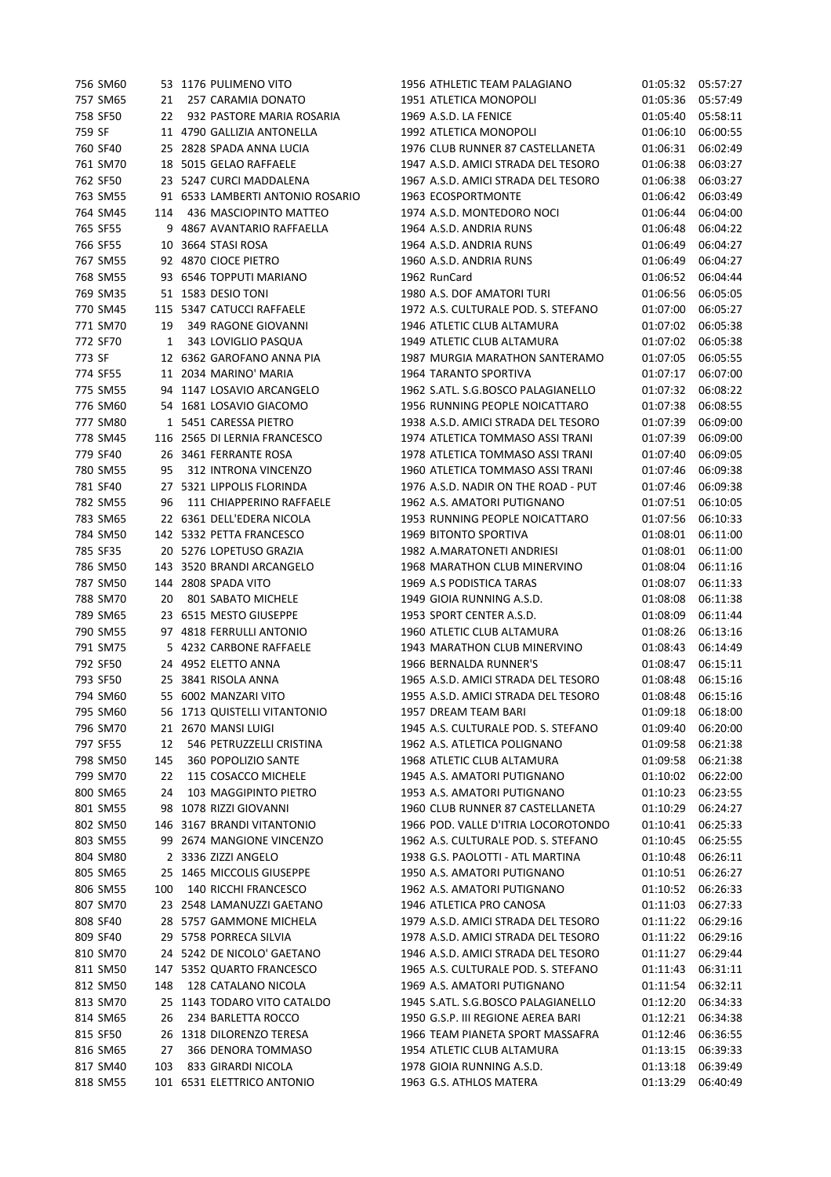| 756 SM60 |     | 53 1176 PULIMENO VITO                                | 1956 ATHLETIC TEAM PALAGIANO        | 01:05:32             | 05:57:27             |
|----------|-----|------------------------------------------------------|-------------------------------------|----------------------|----------------------|
| 757 SM65 | 21  | 257 CARAMIA DONATO                                   | 1951 ATLETICA MONOPOLI              | 01:05:36             | 05:57:49             |
| 758 SF50 | 22  | 932 PASTORE MARIA ROSARIA                            | 1969 A.S.D. LA FENICE               | 01:05:40             | 05:58:11             |
| 759 SF   |     | 11 4790 GALLIZIA ANTONELLA                           | 1992 ATLETICA MONOPOLI              | 01:06:10             | 06:00:55             |
| 760 SF40 |     | 25 2828 SPADA ANNA LUCIA                             | 1976 CLUB RUNNER 87 CASTELLANETA    | 01:06:31             | 06:02:49             |
| 761 SM70 |     | 18 5015 GELAO RAFFAELE                               | 1947 A.S.D. AMICI STRADA DEL TESORO | 01:06:38             | 06:03:27             |
| 762 SF50 |     | 23 5247 CURCI MADDALENA                              | 1967 A.S.D. AMICI STRADA DEL TESORO | 01:06:38             | 06:03:27             |
| 763 SM55 |     | 91 6533 LAMBERTI ANTONIO ROSARIO                     | 1963 ECOSPORTMONTE                  | 01:06:42             | 06:03:49             |
| 764 SM45 | 114 | 436 MASCIOPINTO MATTEO                               | 1974 A.S.D. MONTEDORO NOCI          | 01:06:44             | 06:04:00             |
| 765 SF55 |     | 9 4867 AVANTARIO RAFFAELLA                           | 1964 A.S.D. ANDRIA RUNS             | 01:06:48             | 06:04:22             |
| 766 SF55 |     | 10 3664 STASI ROSA                                   | 1964 A.S.D. ANDRIA RUNS             | 01:06:49             | 06:04:27             |
| 767 SM55 |     | 92 4870 CIOCE PIETRO                                 | 1960 A.S.D. ANDRIA RUNS             | 01:06:49             | 06:04:27             |
| 768 SM55 |     | 93 6546 TOPPUTI MARIANO                              | 1962 RunCard                        | 01:06:52             | 06:04:44             |
| 769 SM35 |     | 51 1583 DESIO TONI                                   | 1980 A.S. DOF AMATORI TURI          | 01:06:56             | 06:05:05             |
| 770 SM45 |     | 115 5347 CATUCCI RAFFAELE                            | 1972 A.S. CULTURALE POD. S. STEFANO | 01:07:00             | 06:05:27             |
| 771 SM70 | 19  | 349 RAGONE GIOVANNI                                  | 1946 ATLETIC CLUB ALTAMURA          | 01:07:02             | 06:05:38             |
| 772 SF70 | 1   | 343 LOVIGLIO PASQUA                                  | 1949 ATLETIC CLUB ALTAMURA          | 01:07:02             | 06:05:38             |
| 773 SF   |     | 12 6362 GAROFANO ANNA PIA                            | 1987 MURGIA MARATHON SANTERAMO      | 01:07:05             | 06:05:55             |
| 774 SF55 |     | 11 2034 MARINO' MARIA                                | 1964 TARANTO SPORTIVA               | 01:07:17             | 06:07:00             |
| 775 SM55 |     | 94 1147 LOSAVIO ARCANGELO                            | 1962 S.ATL. S.G.BOSCO PALAGIANELLO  | 01:07:32             | 06:08:22             |
| 776 SM60 |     | 54 1681 LOSAVIO GIACOMO                              | 1956 RUNNING PEOPLE NOICATTARO      | 01:07:38             | 06:08:55             |
| 777 SM80 |     | 1 5451 CARESSA PIETRO                                | 1938 A.S.D. AMICI STRADA DEL TESORO | 01:07:39             | 06:09:00             |
| 778 SM45 |     | 116 2565 DI LERNIA FRANCESCO                         | 1974 ATLETICA TOMMASO ASSI TRANI    | 01:07:39             | 06:09:00             |
| 779 SF40 |     | 26 3461 FERRANTE ROSA                                | 1978 ATLETICA TOMMASO ASSI TRANI    | 01:07:40             | 06:09:05             |
| 780 SM55 | 95  | 312 INTRONA VINCENZO                                 | 1960 ATLETICA TOMMASO ASSI TRANI    | 01:07:46             | 06:09:38             |
| 781 SF40 |     | 27 5321 LIPPOLIS FLORINDA                            | 1976 A.S.D. NADIR ON THE ROAD - PUT | 01:07:46             | 06:09:38             |
| 782 SM55 | 96  | 111 CHIAPPERINO RAFFAELE                             | 1962 A.S. AMATORI PUTIGNANO         | 01:07:51             | 06:10:05             |
| 783 SM65 |     | 22 6361 DELL'EDERA NICOLA                            | 1953 RUNNING PEOPLE NOICATTARO      | 01:07:56             | 06:10:33             |
| 784 SM50 |     | 142 5332 PETTA FRANCESCO                             | 1969 BITONTO SPORTIVA               | 01:08:01             | 06:11:00             |
| 785 SF35 |     | 20 5276 LOPETUSO GRAZIA                              | 1982 A.MARATONETI ANDRIESI          | 01:08:01             | 06:11:00             |
| 786 SM50 |     | 143 3520 BRANDI ARCANGELO                            | 1968 MARATHON CLUB MINERVINO        | 01:08:04             | 06:11:16             |
| 787 SM50 |     | 144 2808 SPADA VITO                                  | 1969 A.S PODISTICA TARAS            | 01:08:07             | 06:11:33             |
| 788 SM70 | 20  | 801 SABATO MICHELE                                   | 1949 GIOIA RUNNING A.S.D.           | 01:08:08             | 06:11:38             |
| 789 SM65 |     | 23 6515 MESTO GIUSEPPE                               | 1953 SPORT CENTER A.S.D.            | 01:08:09             | 06:11:44             |
| 790 SM55 |     | 97 4818 FERRULLI ANTONIO                             | 1960 ATLETIC CLUB ALTAMURA          | 01:08:26             | 06:13:16             |
| 791 SM75 |     | 5 4232 CARBONE RAFFAELE                              | 1943 MARATHON CLUB MINERVINO        | 01:08:43             | 06:14:49             |
| 792 SF50 |     | 24 4952 ELETTO ANNA                                  | 1966 BERNALDA RUNNER'S              | 01:08:47             | 06:15:11             |
| 793 SF50 |     |                                                      |                                     |                      |                      |
|          |     | 25 3841 RISOLA ANNA                                  | 1965 A.S.D. AMICI STRADA DEL TESORO | 01:08:48             | 06:15:16             |
| 794 SM60 |     | 55 6002 MANZARI VITO<br>56 1713 QUISTELLI VITANTONIO | 1955 A.S.D. AMICI STRADA DEL TESORO | 01:08:48<br>01:09:18 | 06:15:16<br>06:18:00 |
| 795 SM60 |     |                                                      | 1957 DREAM TEAM BARI                |                      |                      |
| 796 SM70 |     | 21 2670 MANSI LUIGI                                  | 1945 A.S. CULTURALE POD. S. STEFANO | 01:09:40             | 06:20:00             |
| 797 SF55 | 12  | 546 PETRUZZELLI CRISTINA                             | 1962 A.S. ATLETICA POLIGNANO        | 01:09:58             | 06:21:38             |
| 798 SM50 | 145 | 360 POPOLIZIO SANTE                                  | 1968 ATLETIC CLUB ALTAMURA          | 01:09:58             | 06:21:38             |
| 799 SM70 | 22  | 115 COSACCO MICHELE                                  | 1945 A.S. AMATORI PUTIGNANO         | 01:10:02             | 06:22:00             |
| 800 SM65 | 24  | 103 MAGGIPINTO PIETRO                                | 1953 A.S. AMATORI PUTIGNANO         | 01:10:23             | 06:23:55             |
| 801 SM55 |     | 98 1078 RIZZI GIOVANNI                               | 1960 CLUB RUNNER 87 CASTELLANETA    | 01:10:29             | 06:24:27             |
| 802 SM50 |     | 146 3167 BRANDI VITANTONIO                           | 1966 POD. VALLE D'ITRIA LOCOROTONDO | 01:10:41             | 06:25:33             |
| 803 SM55 |     | 99 2674 MANGIONE VINCENZO                            | 1962 A.S. CULTURALE POD. S. STEFANO | 01:10:45             | 06:25:55             |
| 804 SM80 |     | 2 3336 ZIZZI ANGELO                                  | 1938 G.S. PAOLOTTI - ATL MARTINA    | 01:10:48             | 06:26:11             |
| 805 SM65 |     | 25 1465 MICCOLIS GIUSEPPE                            | 1950 A.S. AMATORI PUTIGNANO         | 01:10:51             | 06:26:27             |
| 806 SM55 | 100 | 140 RICCHI FRANCESCO                                 | 1962 A.S. AMATORI PUTIGNANO         | 01:10:52             | 06:26:33             |
| 807 SM70 |     | 23 2548 LAMANUZZI GAETANO                            | 1946 ATLETICA PRO CANOSA            | 01:11:03             | 06:27:33             |
| 808 SF40 |     | 28 5757 GAMMONE MICHELA                              | 1979 A.S.D. AMICI STRADA DEL TESORO | 01:11:22             | 06:29:16             |
| 809 SF40 |     | 29 5758 PORRECA SILVIA                               | 1978 A.S.D. AMICI STRADA DEL TESORO | 01:11:22             | 06:29:16             |
| 810 SM70 |     | 24 5242 DE NICOLO' GAETANO                           | 1946 A.S.D. AMICI STRADA DEL TESORO | 01:11:27             | 06:29:44             |
| 811 SM50 |     | 147 5352 QUARTO FRANCESCO                            | 1965 A.S. CULTURALE POD. S. STEFANO | 01:11:43             | 06:31:11             |
| 812 SM50 | 148 | 128 CATALANO NICOLA                                  | 1969 A.S. AMATORI PUTIGNANO         | 01:11:54             | 06:32:11             |
| 813 SM70 |     | 25 1143 TODARO VITO CATALDO                          | 1945 S.ATL. S.G.BOSCO PALAGIANELLO  | 01:12:20             | 06:34:33             |
| 814 SM65 | 26  | 234 BARLETTA ROCCO                                   | 1950 G.S.P. III REGIONE AEREA BARI  | 01:12:21             | 06:34:38             |
| 815 SF50 |     | 26 1318 DILORENZO TERESA                             | 1966 TEAM PIANETA SPORT MASSAFRA    | 01:12:46             | 06:36:55             |
| 816 SM65 | 27  | 366 DENORA TOMMASO                                   | 1954 ATLETIC CLUB ALTAMURA          | 01:13:15             | 06:39:33             |
| 817 SM40 | 103 | 833 GIRARDI NICOLA                                   | 1978 GIOIA RUNNING A.S.D.           | 01:13:18             | 06:39:49             |
| 818 SM55 |     | 101 6531 ELETTRICO ANTONIO                           | 1963 G.S. ATHLOS MATERA             | 01:13:29             | 06:40:49             |